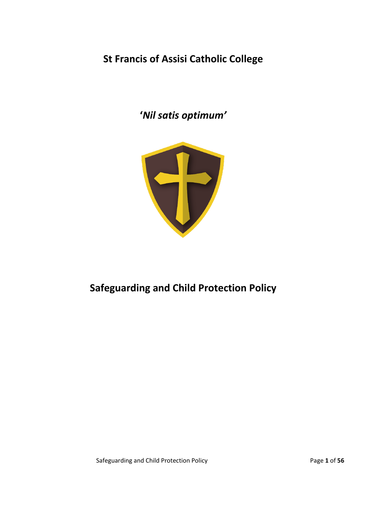**St Francis of Assisi Catholic College**

**'***Nil satis optimum'*



# **Safeguarding and Child Protection Policy**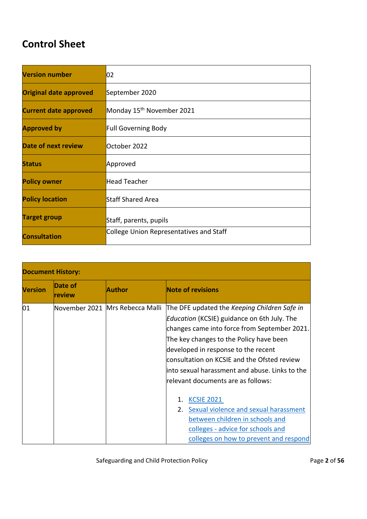# **Control Sheet**

| <b>Version number</b>         | 02                                      |
|-------------------------------|-----------------------------------------|
| <b>Original date approved</b> | September 2020                          |
| <b>Current date approved</b>  | Monday 15 <sup>th</sup> November 2021   |
| <b>Approved by</b>            | <b>Full Governing Body</b>              |
| Date of next review           | October 2022                            |
| <b>Status</b>                 | Approved                                |
| <b>Policy owner</b>           | <b>Head Teacher</b>                     |
| <b>Policy location</b>        | <b>Staff Shared Area</b>                |
| <b>Target group</b>           | Staff, parents, pupils                  |
| <b>Consultation</b>           | College Union Representatives and Staff |

| <b>Document History:</b> |                   |                                 |                                                                                                                                                                                                                                                                                                                                                                               |
|--------------------------|-------------------|---------------------------------|-------------------------------------------------------------------------------------------------------------------------------------------------------------------------------------------------------------------------------------------------------------------------------------------------------------------------------------------------------------------------------|
| <b>Version</b>           | Date of<br>review | Author                          | <b>Note of revisions</b>                                                                                                                                                                                                                                                                                                                                                      |
| 01                       |                   | November 2021 Mrs Rebecca Malli | The DFE updated the Keeping Children Safe in<br><i>Education</i> (KCSIE) guidance on 6th July. The<br>changes came into force from September 2021.<br>The key changes to the Policy have been<br>developed in response to the recent<br>consultation on KCSIE and the Ofsted review<br>linto sexual harassment and abuse. Links to the<br>lrelevant documents are as follows: |
|                          |                   |                                 | <b>KCSIE 2021</b><br>Sexual violence and sexual harassment<br>2.<br>between children in schools and<br>colleges - advice for schools and<br>colleges on how to prevent and respond                                                                                                                                                                                            |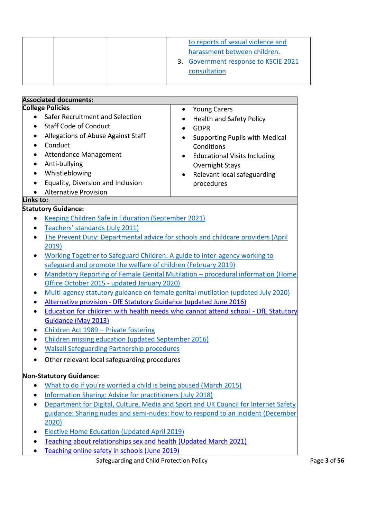|                                                                            | to reports of sexual violence and                                                   |  |  |
|----------------------------------------------------------------------------|-------------------------------------------------------------------------------------|--|--|
|                                                                            | harassment between children.                                                        |  |  |
|                                                                            | 3. Government response to KSCIE 2021                                                |  |  |
|                                                                            | consultation                                                                        |  |  |
|                                                                            |                                                                                     |  |  |
| <b>Associated documents:</b>                                               |                                                                                     |  |  |
| <b>College Policies</b>                                                    | <b>Young Carers</b><br>$\bullet$                                                    |  |  |
| Safer Recruitment and Selection<br>$\bullet$                               | <b>Health and Safety Policy</b>                                                     |  |  |
| <b>Staff Code of Conduct</b>                                               | <b>GDPR</b>                                                                         |  |  |
| Allegations of Abuse Against Staff                                         | <b>Supporting Pupils with Medical</b>                                               |  |  |
| Conduct                                                                    | Conditions                                                                          |  |  |
| Attendance Management                                                      | <b>Educational Visits Including</b>                                                 |  |  |
| Anti-bullying                                                              | <b>Overnight Stays</b>                                                              |  |  |
| Whistleblowing                                                             | Relevant local safeguarding                                                         |  |  |
| Equality, Diversion and Inclusion<br>$\bullet$                             | procedures                                                                          |  |  |
| <b>Alternative Provision</b>                                               |                                                                                     |  |  |
| Links to:                                                                  |                                                                                     |  |  |
| <b>Statutory Guidance:</b>                                                 |                                                                                     |  |  |
| Keeping Children Safe in Education (September 2021)                        |                                                                                     |  |  |
| Teachers' standards (July 2011)                                            |                                                                                     |  |  |
|                                                                            | The Prevent Duty: Departmental advice for schools and childcare providers (April    |  |  |
| 2019)                                                                      |                                                                                     |  |  |
| Working Together to Safeguard Children: A guide to inter-agency working to |                                                                                     |  |  |
| safeguard and promote the welfare of children (February 2019)              |                                                                                     |  |  |
| Office October 2015 - updated January 2020)                                | Mandatory Reporting of Female Genital Mutilation - procedural information (Home     |  |  |
|                                                                            | Multi-agency statutory guidance on female genital mutilation (updated July 2020)    |  |  |
| Alternative provision - DfE Statutory Guidance (updated June 2016)         |                                                                                     |  |  |
|                                                                            | Education for children with health needs who cannot attend school - DfE Statutory   |  |  |
| Guidance (May 2013)                                                        |                                                                                     |  |  |
| Children Act 1989 - Private fostering                                      |                                                                                     |  |  |
| Children missing education (updated September 2016)                        |                                                                                     |  |  |
| <b>Walsall Safeguarding Partnership procedures</b>                         |                                                                                     |  |  |
| Other relevant local safeguarding procedures                               |                                                                                     |  |  |
|                                                                            |                                                                                     |  |  |
| <b>Non-Statutory Guidance:</b>                                             |                                                                                     |  |  |
| What to do if you're worried a child is being abused (March 2015)          |                                                                                     |  |  |
| <b>Information Sharing: Advice for practitioners (July 2018)</b>           |                                                                                     |  |  |
|                                                                            | Department for Digital, Culture, Media and Sport and UK Council for Internet Safety |  |  |
|                                                                            | guidance: Sharing nudes and semi-nudes: how to respond to an incident (December     |  |  |
| 2020)                                                                      |                                                                                     |  |  |
| <b>Elective Home Education (Updated April 2019)</b>                        |                                                                                     |  |  |
| Teaching about relationships sex and health (Updated March 2021)           |                                                                                     |  |  |
|                                                                            | Teaching online safety in schools (June 2019)                                       |  |  |

Safeguarding and Child Protection Policy Page **3** of **56**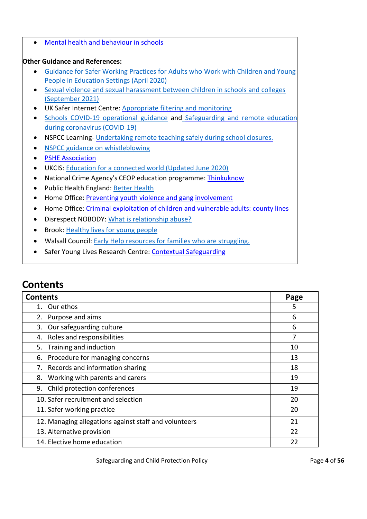• Mental health and behaviour in schools

#### **Other Guidance and References:**

- [Guidance for Safer Working Practices for Adults who Work with Children and Young](file:///C:/Users/User/OneDrive/Martin%20Jobs%20Sept%202018%20Onwards/Luke%20and%20St%20Francis/Policies/Autumn%20Term%202021/Safeguarding/gswp-covid-addendum-april-2020-final-2.pdf)  [People in Education Settings \(April 2020\)](file:///C:/Users/User/OneDrive/Martin%20Jobs%20Sept%202018%20Onwards/Luke%20and%20St%20Francis/Policies/Autumn%20Term%202021/Safeguarding/gswp-covid-addendum-april-2020-final-2.pdf)
- [Sexual violence and sexual harassment between children in schools and colleges](https://assets.publishing.service.gov.uk/government/uploads/system/uploads/attachment_data/file/1014224/Sexual_violence_and_sexual_harassment_between_children_in_schools_and_colleges.pdf)  [\(September 2021\)](https://assets.publishing.service.gov.uk/government/uploads/system/uploads/attachment_data/file/1014224/Sexual_violence_and_sexual_harassment_between_children_in_schools_and_colleges.pdf)
- UK Safer Internet Centre: [Appropriate filtering](file:///C:/Users/lsalkeld/AppData/Local/Microsoft/Windows/INetCache/Content.Outlook/7RKQ8ZXO/appropriate%20filtering%20and%20monitoring) and monitoring
- [Schools COVID-19 operational guidance](https://www.gov.uk/government/publications/actions-for-schools-during-the-coronavirus-outbreak/schools-covid-19-operational-guidance) and [Safeguarding and remote education](https://www.gov.uk/guidance/safeguarding-and-remote-education-during-coronavirus-covid-19) [during coronavirus \(COVID-19\)](https://www.gov.uk/guidance/safeguarding-and-remote-education-during-coronavirus-covid-19)
- NSPCC Learning- [Undertaking](https://learning.nspcc.org.uk/news/covid/undertaking-remote-teaching-safely) remote teaching safely during school closures.
- [NSPCC guidance on whistleblowing](https://www.nspcc.org.uk/keeping-children-safe/reporting-abuse/dedicated-helplines/whistleblowing-advice-line/)
- PSHE Association
- UKCIS: [Education for a connected world \(Updated June 2020\)](https://www.gov.uk/government/publications/education-for-a-connected-world)
- National Crime Agency's CEOP education programme: [Thinkuknow](https://www.thinkuknow.co.uk/)
- Public Health England: [Better Health](https://campaignresources.phe.gov.uk/schools/topics/mental-wellbeing/overview)
- Home Office: Preventing youth [violence and gang](https://www.gov.uk/government/publications/advice-to-schools-and-colleges-on-gangs-and-youth-violence) [involvement](https://www.gov.uk/government/publications/advice-to-schools-and-colleges-on-gangs-and-youth-violence)
- Home Office: [Criminal exploitation of children and vulnerable adults: county lines](https://www.gov.uk/government/publications/criminal-exploitation-of-children-and-vulnerable-adults-county-lines)
- Disrespect NOBODY: [What is relationship abuse?](https://www.disrespectnobody.co.uk/relationship-abuse/what-is-relationship-abuse/)
- Brook: [Healthy lives for young people](https://www.brook.org.uk/)
- Walsall Council: [Early Help resources for families who are struggling.](https://go.walsall.gov.uk/children_and_young_people/early_help)
- Safer Young Lives Research Centre: [Contextual](https://contextualsafeguarding.org.uk/about/what-is-contextual-safeguarding) [Safeguarding](https://contextualsafeguarding.org.uk/about/what-is-contextual-safeguarding)

# **Contents**

| <b>Contents</b>                                       | Page |
|-------------------------------------------------------|------|
| Our ethos<br>1.                                       | 5    |
| Purpose and aims<br>2.                                | 6    |
| Our safeguarding culture<br>3.                        | 6    |
| Roles and responsibilities<br>4.                      | 7    |
| Training and induction<br>5.                          | 10   |
| Procedure for managing concerns<br>6.                 | 13   |
| 7. Records and information sharing                    | 18   |
| Working with parents and carers<br>8.                 | 19   |
| Child protection conferences<br>9.                    | 19   |
| 10. Safer recruitment and selection                   | 20   |
| 11. Safer working practice                            | 20   |
| 12. Managing allegations against staff and volunteers | 21   |
| 13. Alternative provision                             | 22   |
| 14. Elective home education                           | 22   |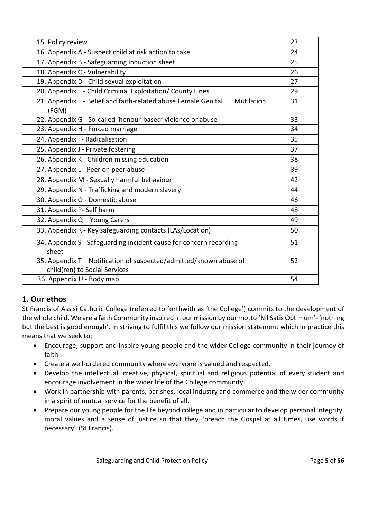| 15. Policy review                                                                                   | 23 |
|-----------------------------------------------------------------------------------------------------|----|
| 16. Appendix A - Suspect child at risk action to take                                               | 24 |
| 17. Appendix B - Safeguarding induction sheet                                                       | 25 |
| 18. Appendix C - Vulnerability                                                                      | 26 |
| 19. Appendix D - Child sexual exploitation                                                          | 27 |
| 20. Appendix E - Child Criminal Exploitation/ County Lines                                          | 29 |
| 21. Appendix F - Belief and faith-related abuse Female Genital<br>Mutilation<br>(FGM)               | 31 |
| 22. Appendix G - So-called 'honour-based' violence or abuse                                         | 33 |
| 23. Appendix H - Forced marriage                                                                    | 34 |
| 24. Appendix I - Radicalisation                                                                     | 35 |
| 25. Appendix J - Private fostering                                                                  | 37 |
| 26. Appendix K - Children missing education                                                         | 38 |
| 27. Appendix L - Peer on peer abuse                                                                 | 39 |
| 28. Appendix M - Sexually harmful behaviour                                                         | 42 |
| 29. Appendix N - Trafficking and modern slavery                                                     | 44 |
| 30. Appendix O - Domestic abuse                                                                     | 46 |
| 31. Appendix P- Self harm                                                                           | 48 |
| 32. Appendix Q - Young Carers                                                                       | 49 |
| 33. Appendix R - Key safeguarding contacts (LAs/Location)                                           | 50 |
| 34. Appendix S - Safeguarding incident cause for concern recording<br>sheet                         | 51 |
| 35. Appendix T - Notification of suspected/admitted/known abuse of<br>child(ren) to Social Services | 52 |
| 36. Appendix U - Body map                                                                           | 54 |

# **1. Our ethos**

St Francis of Assisi Catholic College (referred to forthwith as 'the College') commits to the development of the whole child. We are a faith Community inspired in our mission by our motto 'Nil Satis Optimum'- 'nothing but the best is good enough'. In striving to fulfil this we follow our mission statement which in practice this means that we seek to:

- Encourage, support and inspire young people and the wider College community in their journey of faith.
- Create a well-ordered community where everyone is valued and respected.
- Develop the intellectual, creative, physical, spiritual and religious potential of every student and encourage involvement in the wider life of the College community.
- Work in partnership with parents, parishes, local industry and commerce and the wider community in a spirit of mutual service for the benefit of all.
- Prepare our young people for the life beyond college and in particular to develop personal integrity, moral values and a sense of justice so that they "preach the Gospel at all times, use words if necessary" (St Francis).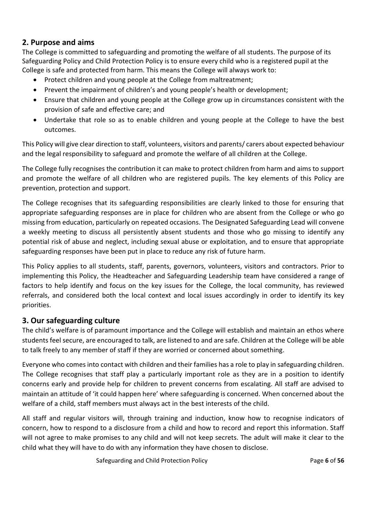### **2. Purpose and aims**

The College is committed to safeguarding and promoting the welfare of all students. The purpose of its Safeguarding Policy and Child Protection Policy is to ensure every child who is a registered pupil at the College is safe and protected from harm. This means the College will always work to:

- Protect children and young people at the College from maltreatment;
- Prevent the impairment of children's and young people's health or development;
- Ensure that children and young people at the College grow up in circumstances consistent with the provision of safe and effective care; and
- Undertake that role so as to enable children and young people at the College to have the best outcomes.

This Policy will give clear direction to staff, volunteers, visitors and parents/ carers about expected behaviour and the legal responsibility to safeguard and promote the welfare of all children at the College.

The College fully recognises the contribution it can make to protect children from harm and aims to support and promote the welfare of all children who are registered pupils. The key elements of this Policy are prevention, protection and support.

The College recognises that its safeguarding responsibilities are clearly linked to those for ensuring that appropriate safeguarding responses are in place for children who are absent from the College or who go missing from education, particularly on repeated occasions. The Designated Safeguarding Lead will convene a weekly meeting to discuss all persistently absent students and those who go missing to identify any potential risk of abuse and neglect, including sexual abuse or exploitation, and to ensure that appropriate safeguarding responses have been put in place to reduce any risk of future harm.

This Policy applies to all students, staff, parents, governors, volunteers, visitors and contractors. Prior to implementing this Policy, the Headteacher and Safeguarding Leadership team have considered a range of factors to help identify and focus on the key issues for the College, the local community, has reviewed referrals, and considered both the local context and local issues accordingly in order to identify its key priorities.

## **3. Our safeguarding culture**

The child's welfare is of paramount importance and the College will establish and maintain an ethos where students feel secure, are encouraged to talk, are listened to and are safe. Children at the College will be able to talk freely to any member of staff if they are worried or concerned about something.

Everyone who comes into contact with children and their families has a role to play in safeguarding children. The College recognises that staff play a particularly important role as they are in a position to identify concerns early and provide help for children to prevent concerns from escalating. All staff are advised to maintain an attitude of 'it could happen here' where safeguarding is concerned. When concerned about the welfare of a child, staff members must always act in the best interests of the child.

All staff and regular visitors will, through training and induction, know how to recognise indicators of concern, how to respond to a disclosure from a child and how to record and report this information. Staff will not agree to make promises to any child and will not keep secrets. The adult will make it clear to the child what they will have to do with any information they have chosen to disclose.

Safeguarding and Child Protection Policy Page **6** of **56**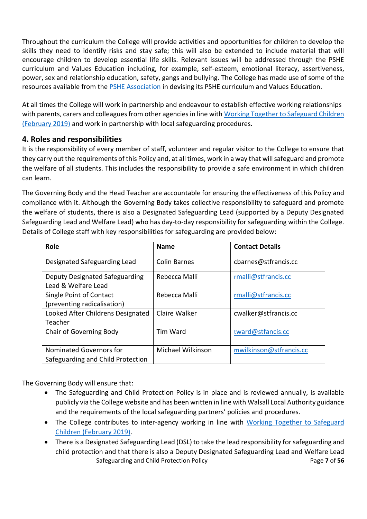Throughout the curriculum the College will provide activities and opportunities for children to develop the skills they need to identify risks and stay safe; this will also be extended to include material that will encourage children to develop essential life skills. Relevant issues will be addressed through the PSHE curriculum and Values Education including, for example, self-esteem, emotional literacy, assertiveness, power, sex and relationship education, safety, gangs and bullying. The College has made use of some of the resources available from the **PSHE Association** in devising its PSHE curriculum and Values Education.

At all times the College will work in partnership and endeavour to establish effective working relationships with parents, carers and colleagues from other agencies in line with Working Together to Safeguard Children [\(February 2019\)](https://www.gov.uk/government/publications/working-together-to-safeguard-children--2) and work in partnership with local safeguarding procedures.

#### **4. Roles and responsibilities**

It is the responsibility of every member of staff, volunteer and regular visitor to the College to ensure that they carry out the requirements of this Policy and, at all times, work in a way that will safeguard and promote the welfare of all students. This includes the responsibility to provide a safe environment in which children can learn.

The Governing Body and the Head Teacher are accountable for ensuring the effectiveness of this Policy and compliance with it. Although the Governing Body takes collective responsibility to safeguard and promote the welfare of students, there is also a Designated Safeguarding Lead (supported by a Deputy Designated Safeguarding Lead and Welfare Lead) who has day-to-day responsibility for safeguarding within the College. Details of College staff with key responsibilities for safeguarding are provided below:

| Role                                                         | <b>Name</b>         | <b>Contact Details</b>  |
|--------------------------------------------------------------|---------------------|-------------------------|
| Designated Safeguarding Lead                                 | <b>Colin Barnes</b> | cbarnes@stfrancis.cc    |
| Deputy Designated Safeguarding<br>Lead & Welfare Lead        | Rebecca Malli       | rmalli@stfrancis.cc     |
| Single Point of Contact<br>(preventing radicalisation)       | Rebecca Malli       | rmalli@stfrancis.cc     |
| Looked After Childrens Designated<br>Teacher                 | Claire Walker       | cwalker@stfrancis.cc    |
| <b>Chair of Governing Body</b>                               | <b>Tim Ward</b>     | tward@stfancis.cc       |
| Nominated Governors for<br>Safeguarding and Child Protection | Michael Wilkinson   | mwilkinson@stfrancis.cc |

The Governing Body will ensure that:

- The Safeguarding and Child Protection Policy is in place and is reviewed annually, is available publicly via the College website and has been written in line with Walsall Local Authority guidance and the requirements of the local safeguarding partners' policies and procedures.
- The College contributes to inter-agency working in line with Working Together to Safeguard [Children \(February 2019\).](https://www.gov.uk/government/publications/working-together-to-safeguard-children--2)
- Safeguarding and Child Protection Policy Page **7** of **56** • There is a Designated Safeguarding Lead (DSL) to take the lead responsibility for safeguarding and child protection and that there is also a Deputy Designated Safeguarding Lead and Welfare Lead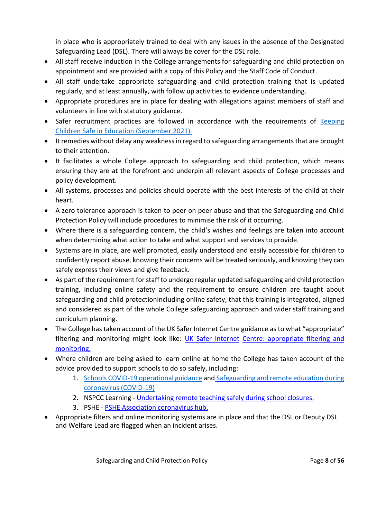in place who is appropriately trained to deal with any issues in the absence of the Designated Safeguarding Lead (DSL). There will always be cover for the DSL role.

- All staff receive induction in the College arrangements for safeguarding and child protection on appointment and are provided with a copy of this Policy and the Staff Code of Conduct.
- All staff undertake appropriate safeguarding and child protection training that is updated regularly, and at least annually, with follow up activities to evidence understanding.
- Appropriate procedures are in place for dealing with allegations against members of staff and volunteers in line with statutory guidance.
- Safer recruitment practices are followed in accordance with the requirements of Keeping [Children Safe in Education \(September 2021\).](https://www.gov.uk/government/publications/keeping-children-safe-in-education--2)
- It remedies without delay any weakness in regard to safeguarding arrangements that are brought to their attention.
- It facilitates a whole College approach to safeguarding and child protection, which means ensuring they are at the forefront and underpin all relevant aspects of College processes and policy development.
- All systems, processes and policies should operate with the best interests of the child at their heart.
- A zero tolerance approach is taken to peer on peer abuse and that the Safeguarding and Child Protection Policy will include procedures to minimise the risk of it occurring.
- Where there is a safeguarding concern, the child's wishes and feelings are taken into account when determining what action to take and what support and services to provide.
- Systems are in place, are well promoted, easily understood and easily accessible for children to confidently report abuse, knowing their concerns will be treated seriously, and knowing they can safely express their views and give feedback.
- As part of the requirement for staff to undergo regular updated safeguarding and child protection training, including online safety and the requirement to ensure children are taught about safeguarding and child protectionincluding online safety, that this training is integrated, aligned and considered as part of the whole College safeguarding approach and wider staff training and curriculum planning.
- The College has taken account of the UK Safer Internet Centre guidance as to what "appropriate" filtering and monitoring might look like: [UK Safer Internet](https://www.saferinternet.org.uk/advice-centre/teachers-and-school-staff/appropriate-filtering-and-monitoring) Centre: [appropriate filtering](https://www.saferinternet.org.uk/advice-centre/teachers-and-school-staff/appropriate-filtering-and-monitoring) and [monitoring.](https://www.saferinternet.org.uk/advice-centre/teachers-and-school-staff/appropriate-filtering-and-monitoring)
- Where children are being asked to learn online at home the College has taken account of the advice provided to support schools to do so safely, including:
	- 1. [Schools COVID-19 operational guidance](https://www.gov.uk/government/publications/actions-for-schools-during-the-coronavirus-outbreak/schools-covid-19-operational-guidance) and [Safeguarding and remote education](https://www.gov.uk/guidance/safeguarding-and-remote-education-during-coronavirus-covid-19) during [coronavirus \(COVID-19\)](https://www.gov.uk/guidance/safeguarding-and-remote-education-during-coronavirus-covid-19)
	- 2. NSPCC Learning [Undertaking](https://learning.nspcc.org.uk/news/covid/undertaking-remote-teaching-safely) remote teaching safely during school closures.
	- 3. PSHE PSHE Association [coronavirus](https://www.pshe-association.org.uk/curriculum-and-resources/search-for-resources) hub.
- Appropriate filters and online monitoring systems are in place and that the DSL or Deputy DSL and Welfare Lead are flagged when an incident arises.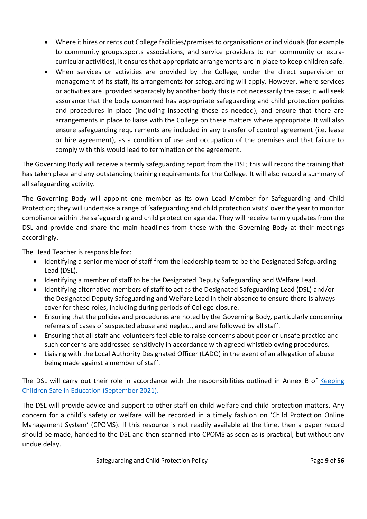- Where it hires or rents out College facilities/premises to organisations or individuals (for example to community groups,sports associations, and service providers to run community or extracurricular activities), it ensures that appropriate arrangements are in place to keep children safe.
- When services or activities are provided by the College, under the direct supervision or management of its staff, its arrangements for safeguarding will apply. However, where services or activities are provided separately by another body this is not necessarily the case; it will seek assurance that the body concerned has appropriate safeguarding and child protection policies and procedures in place (including inspecting these as needed), and ensure that there are arrangements in place to liaise with the College on these matters where appropriate. It will also ensure safeguarding requirements are included in any transfer of control agreement (i.e. lease or hire agreement), as a condition of use and occupation of the premises and that failure to comply with this would lead to termination of the agreement.

The Governing Body will receive a termly safeguarding report from the DSL; this will record the training that has taken place and any outstanding training requirements for the College. It will also record a summary of all safeguarding activity.

The Governing Body will appoint one member as its own Lead Member for Safeguarding and Child Protection; they will undertake a range of 'safeguarding and child protection visits' over the year to monitor compliance within the safeguarding and child protection agenda. They will receive termly updates from the DSL and provide and share the main headlines from these with the Governing Body at their meetings accordingly.

The Head Teacher is responsible for:

- Identifying a senior member of staff from the leadership team to be the Designated Safeguarding Lead (DSL).
- Identifying a member of staff to be the Designated Deputy Safeguarding and Welfare Lead.
- Identifying alternative members of staff to act as the Designated Safeguarding Lead (DSL) and/or the Designated Deputy Safeguarding and Welfare Lead in their absence to ensure there is always cover for these roles, including during periods of College closure.
- Ensuring that the policies and procedures are noted by the Governing Body, particularly concerning referrals of cases of suspected abuse and neglect, and are followed by all staff.
- Ensuring that all staff and volunteers feel able to raise concerns about poor or unsafe practice and such concerns are addressed sensitively in accordance with agreed whistleblowing procedures.
- Liaising with the Local Authority Designated Officer (LADO) in the event of an allegation of abuse being made against a member of staff.

The DSL will carry out their role in accordance with the responsibilities outlined in Annex B of Keeping [Children Safe in Education \(September](https://www.gov.uk/government/publications/keeping-children-safe-in-education--2) 2021).

The DSL will provide advice and support to other staff on child welfare and child protection matters. Any concern for a child's safety or welfare will be recorded in a timely fashion on 'Child Protection Online Management System' (CPOMS). If this resource is not readily available at the time, then a paper record should be made, handed to the DSL and then scanned into CPOMS as soon as is practical, but without any undue delay.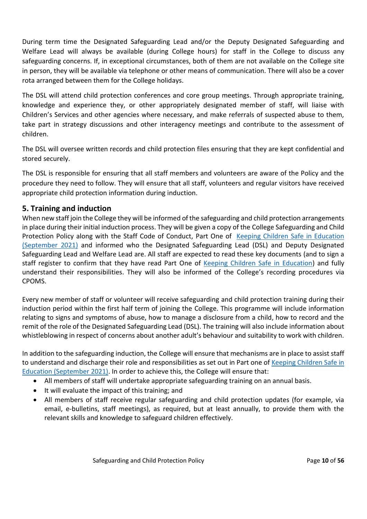During term time the Designated Safeguarding Lead and/or the Deputy Designated Safeguarding and Welfare Lead will always be available (during College hours) for staff in the College to discuss any safeguarding concerns. If, in exceptional circumstances, both of them are not available on the College site in person, they will be available via telephone or other means of communication. There will also be a cover rota arranged between them for the College holidays.

The DSL will attend child protection conferences and core group meetings. Through appropriate training, knowledge and experience they, or other appropriately designated member of staff, will liaise with Children's Services and other agencies where necessary, and make referrals of suspected abuse to them, take part in strategy discussions and other interagency meetings and contribute to the assessment of children.

The DSL will oversee written records and child protection files ensuring that they are kept confidential and stored securely.

The DSL is responsible for ensuring that all staff members and volunteers are aware of the Policy and the procedure they need to follow. They will ensure that all staff, volunteers and regular visitors have received appropriate child protection information during induction.

#### **5. Training and induction**

When new staff join the College they will be informed of the safeguarding and child protection arrangements in place during their initial induction process. They will be given a copy of the College Safeguarding and Child Protection Policy along with the Staff Code of Conduct, Part One of Keeping Children Safe in Education [\(September 2021\)](https://www.gov.uk/government/publications/keeping-children-safe-in-education--2) and informed who the Designated Safeguarding Lead (DSL) and Deputy Designated Safeguarding Lead and Welfare Lead are. All staff are expected to read these key documents (and to sign a staff register to confirm that they have read Part One of [Keeping Children Safe in Education\)](https://www.gov.uk/government/publications/keeping-children-safe-in-education--2) and fully understand their responsibilities. They will also be informed of the College's recording procedures via CPOMS.

Every new member of staff or volunteer will receive safeguarding and child protection training during their induction period within the first half term of joining the College. This programme will include information relating to signs and symptoms of abuse, how to manage a disclosure from a child, how to record and the remit of the role of the Designated Safeguarding Lead (DSL). The training will also include information about whistleblowing in respect of concerns about another adult's behaviour and suitability to work with children.

In addition to the safeguarding induction, the College will ensure that mechanisms are in place to assist staff to understand and discharge their role and responsibilities as set out in Part one of [Keeping Children Safe](https://www.gov.uk/government/publications/keeping-children-safe-in-education--2) in [Education \(September](https://www.gov.uk/government/publications/keeping-children-safe-in-education--2) 2021). In order to achieve this, the College will ensure that:

- All members of staff will undertake appropriate safeguarding training on an annual basis.
- It will evaluate the impact of this training; and
- All members of staff receive regular safeguarding and child protection updates (for example, via email, e-bulletins, staff meetings), as required, but at least annually, to provide them with the relevant skills and knowledge to safeguard children effectively.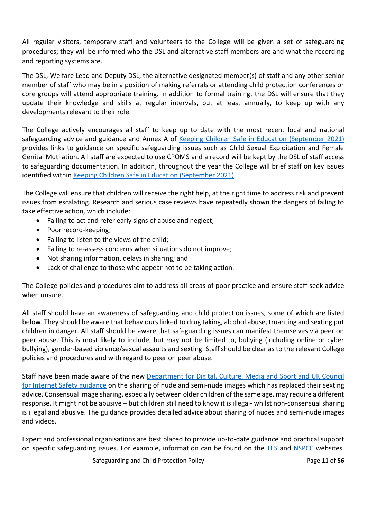All regular visitors, temporary staff and volunteers to the College will be given a set of safeguarding procedures; they will be informed who the DSL and alternative staff members are and what the recording and reporting systems are.

The DSL, Welfare Lead and Deputy DSL, the alternative designated member(s) of staff and any other senior member of staff who may be in a position of making referrals or attending child protection conferences or core groups will attend appropriate training. In addition to formal training, the DSL will ensure that they update their knowledge and skills at regular intervals, but at least annually, to keep up with any developments relevant to their role.

The College actively encourages all staff to keep up to date with the most recent local and national safeguarding advice and guidance and Annex A of Keeping Children Safe [in Education \(September](https://www.gov.uk/government/publications/keeping-children-safe-in-education--2) 2021) provides links to guidance on specific safeguarding issues such as Child Sexual Exploitation and Female Genital Mutilation. All staff are expected to use CPOMS and a record will be kept by the DSL of staff access to safeguarding documentation. In addition, throughout the year the College will brief staff on key issues identified within [Keeping Children Safe in Education \(September 2021\).](https://www.gov.uk/government/publications/keeping-children-safe-in-education--2)

The College will ensure that children will receive the right help, at the right time to address risk and prevent issues from escalating. Research and serious case reviews have repeatedly shown the dangers of failing to take effective action, which include:

- Failing to act and refer early signs of abuse and neglect;
- Poor record-keeping;
- Failing to listen to the views of the child;
- Failing to re-assess concerns when situations do not improve;
- Not sharing information, delays in sharing; and
- Lack of challenge to those who appear not to be taking action.

The College policies and procedures aim to address all areas of poor practice and ensure staff seek advice when unsure.

All staff should have an awareness of safeguarding and child protection issues, some of which are listed below. They should be aware that behaviours linked to drug taking, alcohol abuse, truanting and sexting put children in danger. All staff should be aware that safeguarding issues can manifest themselves via peer on peer abuse. This is most likely to include, but may not be limited to, bullying (including online or cyber bullying), gender-based violence/sexual assaults and sexting. Staff should be clear as to the relevant College policies and procedures and with regard to peer on peer abuse.

Staff have been made aware of the new [Department for Digital, Culture, Media and](https://www.gov.uk/government/publications/sharing-nudes-and-semi-nudes-advice-for-education-settings-working-with-children-and-young-people) Sport and UK Council [for Internet Safety](https://www.gov.uk/government/publications/sharing-nudes-and-semi-nudes-advice-for-education-settings-working-with-children-and-young-people) guidance on the sharing of nude and semi-nude images which has replaced their sexting advice. Consensual image sharing, especially between older children of the same age, may require a different response. It might not be abusive – but children still need to know it is illegal- whilst non-consensual sharing is illegal and abusive. The guidance provides detailed advice about sharing of nudes and semi-nude images and videos.

Expert and professional organisations are best placed to provide up-to-date guidance and practical support on specific safeguarding issues. For example, information can be found on the [TES](https://www.tes.com/) and [NSPCC](https://www.nspcc.org.uk/) websites.

**Safeguarding and Child Protection Policy Community Page 11 of 56**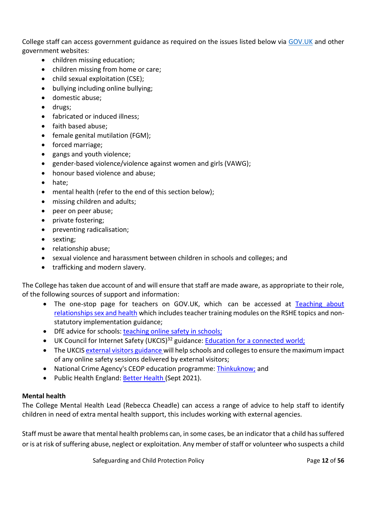College staff can access government guidance as required on the issues listed below via [GOV.UK](https://www.gov.uk/) and other government websites:

- children missing education;
- children missing from home or care;
- child sexual exploitation (CSE);
- bullying including online bullying;
- domestic abuse;
- drugs;
- fabricated or induced illness;
- faith based abuse;
- female genital mutilation (FGM);
- forced marriage;
- gangs and youth violence;
- gender-based violence/violence against women and girls (VAWG);
- honour based violence and abuse;
- hate;
- mental health (refer to the end of this section below);
- missing children and adults;
- peer on peer abuse;
- private fostering;
- preventing radicalisation;
- sexting;
- relationship abuse;
- sexual violence and harassment between children in schools and colleges; and
- trafficking and modern slavery.

The College has taken due account of and will ensure that staff are made aware, as appropriate to their role, of the following sources of support and information:

- The one-stop page for teachers on GOV.UK, which can be accessed at [Teaching about](https://www.gov.uk/guidance/teaching-about-relationships-sex-and-health)  [relationships sex and health](https://www.gov.uk/guidance/teaching-about-relationships-sex-and-health) which includes teacher training modules on the RSHE topics and nonstatutory implementation guidance;
- DfE advice for schools: [teaching](https://www.gov.uk/government/publications/teaching-online-safety-in-schools) online safety in schools;
- UK Council for Internet Safety (UKCIS)<sup>32</sup> guidance: Education for a connected world;
- The UKCIS [external visitors guidance w](https://www.gov.uk/government/publications/using-external-visitors-to-support-online-safety-education-guidance-for-educational-settings)ill help schools and colleges to ensure the maximum impact of any online safety sessions delivered by external visitors;
- National Crime Agency's CEOP education programme: [Thinkuknow;](https://www.thinkuknow.co.uk/) and
- Public Health England: Better Health (Sept 2021).

#### **Mental health**

The College Mental Health Lead (Rebecca Cheadle) can access a range of advice to help staff to identify children in need of extra mental health support, this includes working with external agencies.

Staff must be aware that mental health problems can, in some cases, be an indicator that a child has suffered or is at risk of suffering abuse, neglect or exploitation. Any member of staff or volunteer who suspects a child

**Safeguarding and Child Protection Policy Community Page 12 of 56**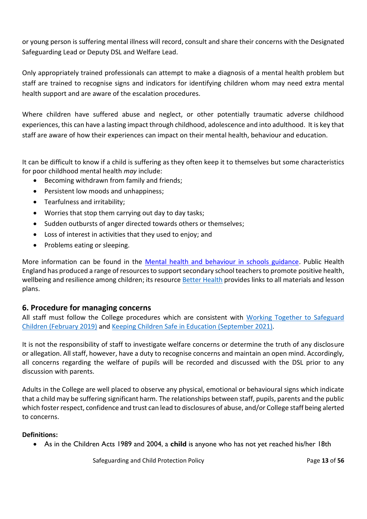or young person is suffering mental illness will record, consult and share their concerns with the Designated Safeguarding Lead or Deputy DSL and Welfare Lead.

Only appropriately trained professionals can attempt to make a diagnosis of a mental health problem but staff are trained to recognise signs and indicators for identifying children whom may need extra mental health support and are aware of the escalation procedures.

Where children have suffered abuse and neglect, or other potentially traumatic adverse childhood experiences, this can have a lasting impact through childhood, adolescence and into adulthood. It is key that staff are aware of how their experiences can impact on their mental health, behaviour and education.

It can be difficult to know if a child is suffering as they often keep it to themselves but some characteristics for poor childhood mental health *may* include:

- Becoming withdrawn from family and friends;
- Persistent low moods and unhappiness;
- Tearfulness and irritability;
- Worries that stop them carrying out day to day tasks;
- Sudden outbursts of anger directed towards others or themselves;
- Loss of interest in activities that they used to enjoy; and
- Problems eating or sleeping.

More information can be found in the [Mental health and behaviour in schools guidance.](https://www.gov.uk/government/publications/mental-health-and-behaviour-in-schools--2) Public Health England has produced a range of resources to support secondary school teachers to promote positive health, wellbeing and resilience among children; its resource **[Better Health](https://campaignresources.phe.gov.uk/schools/topics/mental-wellbeing/overview)** provides links to all materials and lesson plans.

#### **6. Procedure for managing concerns**

All staff must follow the College procedures which are consistent with Working Together to Safeguard [Children \(February 2019\)](https://www.gov.uk/government/publications/working-together-to-safeguard-children--2) and Keeping Children Safe [in Education \(September](https://www.gov.uk/government/publications/keeping-children-safe-in-education--2) 2021).

It is not the responsibility of staff to investigate welfare concerns or determine the truth of any disclosure or allegation. All staff, however, have a duty to recognise concerns and maintain an open mind. Accordingly, all concerns regarding the welfare of pupils will be recorded and discussed with the DSL prior to any discussion with parents.

Adults in the College are well placed to observe any physical, emotional or behavioural signs which indicate that a child may be suffering significant harm. The relationships between staff, pupils, parents and the public which foster respect, confidence and trust can lead to disclosures of abuse, and/or College staff being alerted to concerns.

#### **Definitions:**

• As in the Children Acts 1989 and 2004, a **child** is anyone who has not yet reached his/her 18th

**Safeguarding and Child Protection Policy Community Page 13 of 56**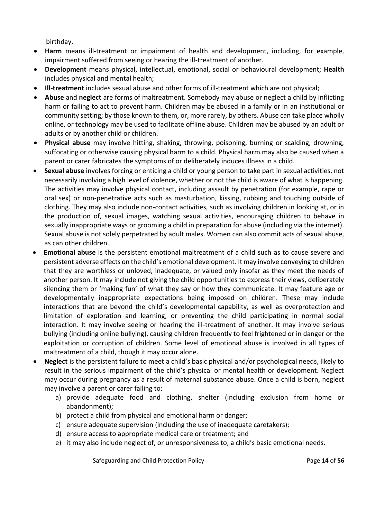birthday.

- **Harm** means ill-treatment or impairment of health and development, including, for example, impairment suffered from seeing or hearing the ill-treatment of another.
- **Development** means physical, intellectual, emotional, social or behavioural development; **Health**  includes physical and mental health;
- **Ill-treatment** includes sexual abuse and other forms of ill-treatment which are not physical;
- **Abuse** and **neglect** are forms of maltreatment. Somebody may abuse or neglect a child by inflicting harm or failing to act to prevent harm. Children may be abused in a family or in an institutional or community setting; by those known to them, or, more rarely, by others. Abuse can take place wholly online, or technology may be used to facilitate offline abuse. Children may be abused by an adult or adults or by another child or children.
- **Physical abuse** may involve hitting, shaking, throwing, poisoning, burning or scalding, drowning, suffocating or otherwise causing physical harm to a child. Physical harm may also be caused when a parent or carer fabricates the symptoms of or deliberately induces illness in a child.
- **Sexual abuse** involves forcing or enticing a child or young person to take part in sexual activities, not necessarily involving a high level of violence, whether or not the child is aware of what is happening. The activities may involve physical contact, including assault by penetration (for example, rape or oral sex) or non-penetrative acts such as masturbation, kissing, rubbing and touching outside of clothing. They may also include non-contact activities, such as involving children in looking at, or in the production of, sexual images, watching sexual activities, encouraging children to behave in sexually inappropriate ways or grooming a child in preparation for abuse (including via the internet). Sexual abuse is not solely perpetrated by adult males. Women can also commit acts of sexual abuse, as can other children.
- **Emotional abuse** is the persistent emotional maltreatment of a child such as to cause severe and persistent adverse effects on the child's emotional development. It may involve conveying to children that they are worthless or unloved, inadequate, or valued only insofar as they meet the needs of another person. It may include not giving the child opportunities to express their views, deliberately silencing them or 'making fun' of what they say or how they communicate. It may feature age or developmentally inappropriate expectations being imposed on children. These may include interactions that are beyond the child's developmental capability, as well as overprotection and limitation of exploration and learning, or preventing the child participating in normal social interaction. It may involve seeing or hearing the ill-treatment of another. It may involve serious bullying (including online bullying), causing children frequently to feel frightened or in danger or the exploitation or corruption of children. Some level of emotional abuse is involved in all types of maltreatment of a child, though it may occur alone.
- **Neglect** is the persistent failure to meet a child's basic physical and/or psychological needs, likely to result in the serious impairment of the child's physical or mental health or development. Neglect may occur during pregnancy as a result of maternal substance abuse. Once a child is born, neglect may involve a parent or carer failing to:
	- a) provide adequate food and clothing, shelter (including exclusion from home or abandonment);
	- b) protect a child from physical and emotional harm or danger;
	- c) ensure adequate supervision (including the use of inadequate caretakers);
	- d) ensure access to appropriate medical care or treatment; and
	- e) it may also include neglect of, or unresponsiveness to, a child's basic emotional needs.

**Safeguarding and Child Protection Policy Community Page 14 of 56**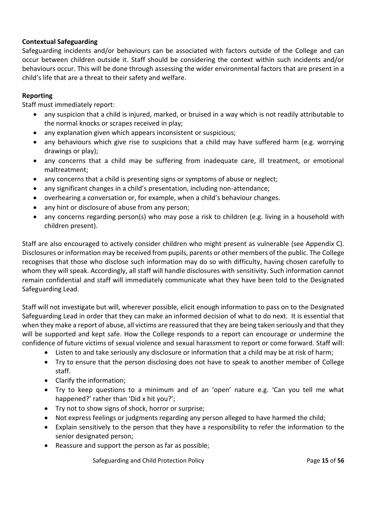#### **Contextual Safeguarding**

Safeguarding incidents and/or behaviours can be associated with factors outside of the College and can occur between children outside it. Staff should be considering the context within such incidents and/or behaviours occur. This will be done through assessing the wider environmental factors that are present in a child's life that are a threat to their safety and welfare.

#### **Reporting**

Staff must immediately report:

- any suspicion that a child is injured, marked, or bruised in a way which is not readily attributable to the normal knocks or scrapes received in play;
- any explanation given which appears inconsistent or suspicious;
- any behaviours which give rise to suspicions that a child may have suffered harm (e.g. worrying drawings or play);
- any concerns that a child may be suffering from inadequate care, ill treatment, or emotional maltreatment;
- any concerns that a child is presenting signs or symptoms of abuse or neglect;
- any significant changes in a child's presentation, including non-attendance;
- overhearing a conversation or, for example, when a child's behaviour changes.
- any hint or disclosure of abuse from any person;
- any concerns regarding person(s) who may pose a risk to children (e.g. living in a household with children present).

Staff are also encouraged to actively consider children who might present as vulnerable (see Appendix C). Disclosures or information may be received from pupils, parents or other members of the public. The College recognises that those who disclose such information may do so with difficulty, having chosen carefully to whom they will speak. Accordingly, all staff will handle disclosures with sensitivity. Such information cannot remain confidential and staff will immediately communicate what they have been told to the Designated Safeguarding Lead.

Staff will not investigate but will, wherever possible, elicit enough information to pass on to the Designated Safeguarding Lead in order that they can make an informed decision of what to do next. It is essential that when they make a report of abuse, all victims are reassured that they are being taken seriously and that they will be supported and kept safe. How the College responds to a report can encourage or undermine the confidence of future victims of sexual violence and sexual harassment to report or come forward. Staff will:

- Listen to and take seriously any disclosure or information that a child may be at risk of harm;
- Try to ensure that the person disclosing does not have to speak to another member of College staff.
- Clarify the information;
- Try to keep questions to a minimum and of an 'open' nature e.g. 'Can you tell me what happened?' rather than 'Did x hit you?';
- Try not to show signs of shock, horror or surprise;
- Not express feelings or judgments regarding any person alleged to have harmed the child;
- Explain sensitively to the person that they have a responsibility to refer the information to the senior designated person;
- Reassure and support the person as far as possible;

**Safeguarding and Child Protection Policy Community Page 15 of 56**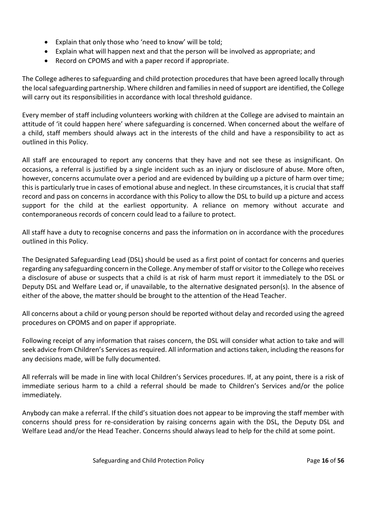- Explain that only those who 'need to know' will be told;
- Explain what will happen next and that the person will be involved as appropriate; and
- Record on CPOMS and with a paper record if appropriate.

The College adheres to safeguarding and child protection procedures that have been agreed locally through the local safeguarding partnership. Where children and families in need of support are identified, the College will carry out its responsibilities in accordance with local threshold guidance.

Every member of staff including volunteers working with children at the College are advised to maintain an attitude of 'it could happen here' where safeguarding is concerned. When concerned about the welfare of a child, staff members should always act in the interests of the child and have a responsibility to act as outlined in this Policy.

All staff are encouraged to report any concerns that they have and not see these as insignificant. On occasions, a referral is justified by a single incident such as an injury or disclosure of abuse. More often, however, concerns accumulate over a period and are evidenced by building up a picture of harm over time; this is particularly true in cases of emotional abuse and neglect. In these circumstances, it is crucial that staff record and pass on concerns in accordance with this Policy to allow the DSL to build up a picture and access support for the child at the earliest opportunity. A reliance on memory without accurate and contemporaneous records of concern could lead to a failure to protect.

All staff have a duty to recognise concerns and pass the information on in accordance with the procedures outlined in this Policy.

The Designated Safeguarding Lead (DSL) should be used as a first point of contact for concerns and queries regarding any safeguarding concern in the College. Any member of staff or visitor to the College who receives a disclosure of abuse or suspects that a child is at risk of harm must report it immediately to the DSL or Deputy DSL and Welfare Lead or, if unavailable, to the alternative designated person(s). In the absence of either of the above, the matter should be brought to the attention of the Head Teacher.

All concerns about a child or young person should be reported without delay and recorded using the agreed procedures on CPOMS and on paper if appropriate.

Following receipt of any information that raises concern, the DSL will consider what action to take and will seek advice from Children's Services as required. All information and actions taken, including the reasons for any decisions made, will be fully documented.

All referrals will be made in line with local Children's Services procedures. If, at any point, there is a risk of immediate serious harm to a child a referral should be made to Children's Services and/or the police immediately.

Anybody can make a referral. If the child's situation does not appear to be improving the staff member with concerns should press for re-consideration by raising concerns again with the DSL, the Deputy DSL and Welfare Lead and/or the Head Teacher. Concerns should always lead to help for the child at some point.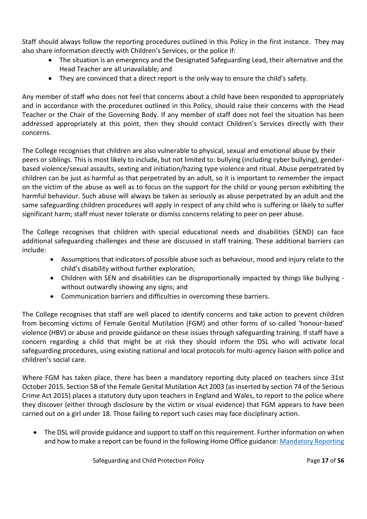Staff should always follow the reporting procedures outlined in this Policy in the first instance. They may also share information directly with Children's Services, or the police if:

- The situation is an emergency and the Designated Safeguarding Lead, their alternative and the Head Teacher are all unavailable; and
- They are convinced that a direct report is the only way to ensure the child's safety.

Any member of staff who does not feel that concerns about a child have been responded to appropriately and in accordance with the procedures outlined in this Policy, should raise their concerns with the Head Teacher or the Chair of the Governing Body. If any member of staff does not feel the situation has been addressed appropriately at this point, then they should contact Children's Services directly with their concerns.

The College recognises that children are also vulnerable to physical, sexual and emotional abuse by their peers or siblings. This is most likely to include, but not limited to: bullying (including cyber bullying), genderbased violence/sexual assaults, sexting and initiation/hazing type violence and ritual. Abuse perpetrated by children can be just as harmful as that perpetrated by an adult, so it is important to remember the impact on the victim of the abuse as well as to focus on the support for the child or young person exhibiting the harmful behaviour. Such abuse will always be taken as seriously as abuse perpetrated by an adult and the same safeguarding children procedures will apply in respect of any child who is suffering or likely to suffer significant harm; staff must never tolerate or dismiss concerns relating to peer on peer abuse.

The College recognises that children with special educational needs and disabilities (SEND) can face additional safeguarding challenges and these are discussed in staff training. These additional barriers can include:

- Assumptions that indicators of possible abuse such as behaviour, mood and injury relate to the child's disability without further exploration;
- Children with SEN and disabilities can be disproportionally impacted by things like bullying without outwardly showing any signs; and
- Communication barriers and difficulties in overcoming these barriers.

The College recognises that staff are well placed to identify concerns and take action to prevent children from becoming victims of Female Genital Mutilation (FGM) and other forms of so-called 'honour-based' violence (HBV) or abuse and provide guidance on these issues through safeguarding training. If staff have a concern regarding a child that might be at risk they should inform the DSL who will activate local safeguarding procedures, using existing national and local protocols for multi-agency liaison with police and children's social care.

Where FGM has taken place, there has been a mandatory reporting duty placed on teachers since 31st October 2015. Section 5B of the Female Genital Mutilation Act 2003 (as inserted by section 74 of the Serious Crime Act 2015) places a statutory duty upon teachers in England and Wales, to report to the police where they discover (either through disclosure by the victim or visual evidence) that FGM appears to have been carried out on a girl under 18. Those failing to report such cases may face disciplinary action.

• The DSL will provide guidance and support to staff on this requirement. Further information on when and how to make a report can be found in the following Home Office guidance: Mandatory Reporting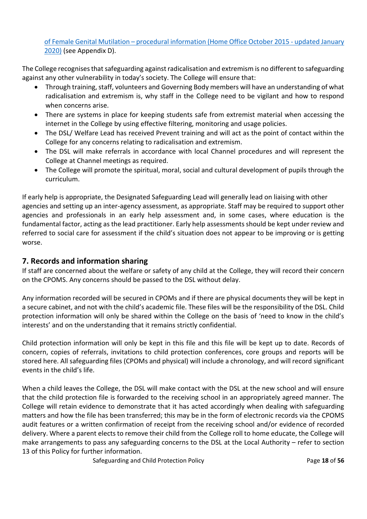of Female Genital Mutilation – [procedural information \(Home Office October 2015 -](https://www.gov.uk/government/publications/mandatory-reporting-of-female-genital-mutilation-procedural-information) updated January [2020\)](https://www.gov.uk/government/publications/mandatory-reporting-of-female-genital-mutilation-procedural-information) (see Appendix D).

The College recognises that safeguarding against radicalisation and extremism is no different to safeguarding against any other vulnerability in today's society. The College will ensure that:

- Through training, staff, volunteers and Governing Body members will have an understanding of what radicalisation and extremism is, why staff in the College need to be vigilant and how to respond when concerns arise.
- There are systems in place for keeping students safe from extremist material when accessing the internet in the College by using effective filtering, monitoring and usage policies.
- The DSL/ Welfare Lead has received Prevent training and will act as the point of contact within the College for any concerns relating to radicalisation and extremism.
- The DSL will make referrals in accordance with local Channel procedures and will represent the College at Channel meetings as required.
- The College will promote the spiritual, moral, social and cultural development of pupils through the curriculum.

If early help is appropriate, the Designated Safeguarding Lead will generally lead on liaising with other agencies and setting up an inter-agency assessment, as appropriate. Staff may be required to support other agencies and professionals in an early help assessment and, in some cases, where education is the fundamental factor, acting as the lead practitioner. Early help assessments should be kept under review and referred to social care for assessment if the child's situation does not appear to be improving or is getting worse.

#### **7. Records and information sharing**

If staff are concerned about the welfare or safety of any child at the College, they will record their concern on the CPOMS. Any concerns should be passed to the DSL without delay.

Any information recorded will be secured in CPOMs and if there are physical documents they will be kept in a secure cabinet, and not with the child's academic file. These files will be the responsibility of the DSL. Child protection information will only be shared within the College on the basis of 'need to know in the child's interests' and on the understanding that it remains strictly confidential.

Child protection information will only be kept in this file and this file will be kept up to date. Records of concern, copies of referrals, invitations to child protection conferences, core groups and reports will be stored here. All safeguarding files (CPOMs and physical) will include a chronology, and will record significant events in the child's life.

When a child leaves the College, the DSL will make contact with the DSL at the new school and will ensure that the child protection file is forwarded to the receiving school in an appropriately agreed manner. The College will retain evidence to demonstrate that it has acted accordingly when dealing with safeguarding matters and how the file has been transferred; this may be in the form of electronic records via the CPOMS audit features or a written confirmation of receipt from the receiving school and/or evidence of recorded delivery. Where a parent elects to remove their child from the College roll to home educate, the College will make arrangements to pass any safeguarding concerns to the DSL at the Local Authority – refer to section 13 of this Policy for further information.

**Safeguarding and Child Protection Policy Community Page 18 of 56**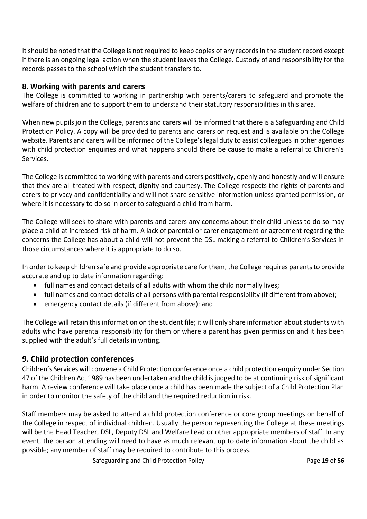It should be noted that the College is not required to keep copies of any records in the student record except if there is an ongoing legal action when the student leaves the College. Custody of and responsibility for the records passes to the school which the student transfers to.

#### **8. Working with parents and carers**

The College is committed to working in partnership with parents/carers to safeguard and promote the welfare of children and to support them to understand their statutory responsibilities in this area.

When new pupils join the College, parents and carers will be informed that there is a Safeguarding and Child Protection Policy. A copy will be provided to parents and carers on request and is available on the College website. Parents and carers will be informed of the College's legal duty to assist colleagues in other agencies with child protection enquiries and what happens should there be cause to make a referral to Children's Services.

The College is committed to working with parents and carers positively, openly and honestly and will ensure that they are all treated with respect, dignity and courtesy. The College respects the rights of parents and carers to privacy and confidentiality and will not share sensitive information unless granted permission, or where it is necessary to do so in order to safeguard a child from harm.

The College will seek to share with parents and carers any concerns about their child unless to do so may place a child at increased risk of harm. A lack of parental or carer engagement or agreement regarding the concerns the College has about a child will not prevent the DSL making a referral to Children's Services in those circumstances where it is appropriate to do so.

In order to keep children safe and provide appropriate care for them, the College requires parents to provide accurate and up to date information regarding:

- full names and contact details of all adults with whom the child normally lives;
- full names and contact details of all persons with parental responsibility (if different from above);
- emergency contact details (if different from above); and

The College will retain this information on the student file; it will only share information about students with adults who have parental responsibility for them or where a parent has given permission and it has been supplied with the adult's full details in writing.

#### **9. Child protection conferences**

Children's Services will convene a Child Protection conference once a child protection enquiry under Section 47 of the Children Act 1989 has been undertaken and the child is judged to be at continuing risk of significant harm. A review conference will take place once a child has been made the subject of a Child Protection Plan in order to monitor the safety of the child and the required reduction in risk.

Staff members may be asked to attend a child protection conference or core group meetings on behalf of the College in respect of individual children. Usually the person representing the College at these meetings will be the Head Teacher, DSL, Deputy DSL and Welfare Lead or other appropriate members of staff. In any event, the person attending will need to have as much relevant up to date information about the child as possible; any member of staff may be required to contribute to this process.

**Safeguarding and Child Protection Policy Child Protection Policy Page 19 of 56**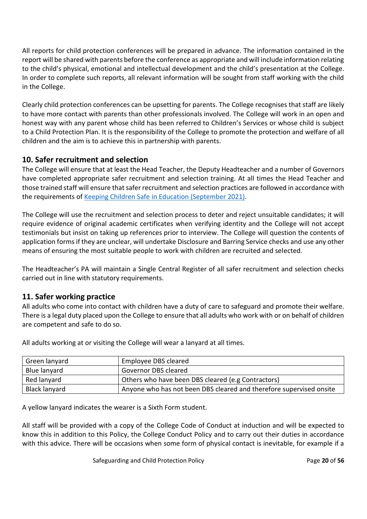All reports for child protection conferences will be prepared in advance. The information contained in the report will be shared with parents before the conference as appropriate and will include information relating to the child's physical, emotional and intellectual development and the child's presentation at the College. In order to complete such reports, all relevant information will be sought from staff working with the child in the College.

Clearly child protection conferences can be upsetting for parents. The College recognises that staff are likely to have more contact with parents than other professionals involved. The College will work in an open and honest way with any parent whose child has been referred to Children's Services or whose child is subject to a Child Protection Plan. It is the responsibility of the College to promote the protection and welfare of all children and the aim is to achieve this in partnership with parents.

## **10. Safer recruitment and selection**

The College will ensure that at least the Head Teacher, the Deputy Headteacher and a number of Governors have completed appropriate safer recruitment and selection training. At all times the Head Teacher and those trained staff will ensure that safer recruitment and selection practices are followed in accordance with the requirements of Keeping Children Safe [in Education \(September](https://www.gov.uk/government/publications/keeping-children-safe-in-education--2) 2021).

The College will use the recruitment and selection process to deter and reject unsuitable candidates; it will require evidence of original academic certificates when verifying identity and the College will not accept testimonials but insist on taking up references prior to interview. The College will question the contents of application forms if they are unclear, will undertake Disclosure and Barring Service checks and use any other means of ensuring the most suitable people to work with children are recruited and selected.

The Headteacher's PA will maintain a Single Central Register of all safer recruitment and selection checks carried out in line with statutory requirements.

#### **11. Safer working practice**

All adults who come into contact with children have a duty of care to safeguard and promote their welfare. There is a legal duty placed upon the College to ensure that all adults who work with or on behalf of children are competent and safe to do so.

| Green lanyard        | Employee DBS cleared                                                |
|----------------------|---------------------------------------------------------------------|
| Blue lanyard         | Governor DBS cleared                                                |
| Red lanyard          | Others who have been DBS cleared (e.g Contractors)                  |
| <b>Black lanyard</b> | Anyone who has not been DBS cleared and therefore supervised onsite |

All adults working at or visiting the College will wear a lanyard at all times.

A yellow lanyard indicates the wearer is a Sixth Form student.

All staff will be provided with a copy of the College Code of Conduct at induction and will be expected to know this in addition to this Policy, the College Conduct Policy and to carry out their duties in accordance with this advice. There will be occasions when some form of physical contact is inevitable, for example if a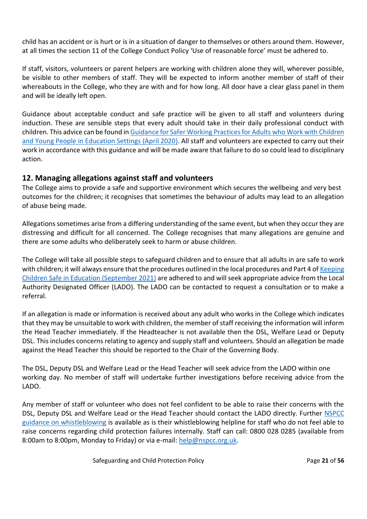child has an accident or is hurt or is in a situation of danger to themselves or others around them. However, at all times the section 11 of the College Conduct Policy 'Use of reasonable force' must be adhered to.

If staff, visitors, volunteers or parent helpers are working with children alone they will, wherever possible, be visible to other members of staff. They will be expected to inform another member of staff of their whereabouts in the College, who they are with and for how long. All door have a clear glass panel in them and will be ideally left open.

Guidance about acceptable conduct and safe practice will be given to all staff and volunteers during induction. These are sensible steps that every adult should take in their daily professional conduct with children. This advice can be found i[n Guidance for Safer Working Practices for Adults who Work with](file:///C:/Users/User/OneDrive/Martin%20Jobs%20Sept%202018%20Onwards/Luke%20and%20St%20Francis/Policies/Autumn%20Term%202021/Safeguarding/gswp-covid-addendum-april-2020-final-2.pdf) Children [and Young People in Education Settings \(April 2020\).](file:///C:/Users/User/OneDrive/Martin%20Jobs%20Sept%202018%20Onwards/Luke%20and%20St%20Francis/Policies/Autumn%20Term%202021/Safeguarding/gswp-covid-addendum-april-2020-final-2.pdf) All staff and volunteers are expected to carry out their work in accordance with this guidance and will be made aware that failure to do so could lead to disciplinary action.

### **12. Managing allegations against staff and volunteers**

The College aims to provide a safe and supportive environment which secures the wellbeing and very best outcomes for the children; it recognises that sometimes the behaviour of adults may lead to an allegation of abuse being made.

Allegations sometimes arise from a differing understanding of the same event, but when they occur they are distressing and difficult for all concerned. The College recognises that many allegations are genuine and there are some adults who deliberately seek to harm or abuse children.

The College will take all possible steps to safeguard children and to ensure that all adults in are safe to work with children; it will always ensure that the procedures outlined in the local procedures and Part 4 of Keeping [Children Safe in Education \(September 2021\)](https://www.gov.uk/government/publications/keeping-children-safe-in-education--2) are adhered to and will seek appropriate advice from the Local Authority Designated Officer (LADO). The LADO can be contacted to request a consultation or to make a referral.

If an allegation is made or information is received about any adult who works in the College which indicates that they may be unsuitable to work with children, the member of staff receiving the information will inform the Head Teacher immediately. If the Headteacher is not available then the DSL, Welfare Lead or Deputy DSL. This includes concerns relating to agency and supply staff and volunteers. Should an allegation be made against the Head Teacher this should be reported to the Chair of the Governing Body.

The DSL, Deputy DSL and Welfare Lead or the Head Teacher will seek advice from the LADO within one working day. No member of staff will undertake further investigations before receiving advice from the LADO.

Any member of staff or volunteer who does not feel confident to be able to raise their concerns with the DSL, Deputy DSL and Welfare Lead or the Head Teacher should contact the LADO directly. Further **NSPCC** [guidance on whistleblowing](https://www.nspcc.org.uk/keeping-children-safe/reporting-abuse/dedicated-helplines/whistleblowing-advice-line/) is available as is their whistleblowing helpline for staff who do not feel able to raise concerns regarding child protection failures internally. Staff can call: 0800 028 0285 (available from 8:00am to 8:00pm, Monday to Friday) or via e-mail: [help@nspcc.org.uk.](mailto:help@nspcc.org.uk)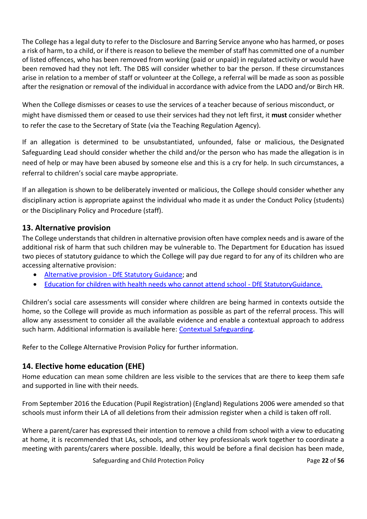The College has a legal duty to refer to the Disclosure and Barring Service anyone who has harmed, or poses a risk of harm, to a child, or if there is reason to believe the member of staff has committed one of a number of listed offences, who has been removed from working (paid or unpaid) in regulated activity or would have been removed had they not left. The DBS will consider whether to bar the person. If these circumstances arise in relation to a member of staff or volunteer at the College, a referral will be made as soon as possible after the resignation or removal of the individual in accordance with advice from the LADO and/or Birch HR.

When the College dismisses or ceases to use the services of a teacher because of serious misconduct, or might have dismissed them or ceased to use their services had they not left first, it **must** consider whether to refer the case to the Secretary of State (via the Teaching Regulation Agency).

If an allegation is determined to be unsubstantiated, unfounded, false or malicious, the Designated Safeguarding Lead should consider whether the child and/or the person who has made the allegation is in need of help or may have been abused by someone else and this is a cry for help. In such circumstances, a referral to children's social care maybe appropriate.

If an allegation is shown to be deliberately invented or malicious, the College should consider whether any disciplinary action is appropriate against the individual who made it as under the Conduct Policy (students) or the Disciplinary Policy and Procedure (staff).

### **13. Alternative provision**

The College understands that children in alternative provision often have complex needs and is aware of the additional risk of harm that such children may be vulnerable to. The Department for Education has issued two pieces of statutory guidance to which the College will pay due regard to for any of its children who are accessing alternative provision:

- [Alternative](https://www.gov.uk/government/publications/alternative-provision) provision DfE Statutory Guidance; and
- [Education for children with health needs who cannot attend school -](https://www.gov.uk/government/publications/education-for-children-with-health-needs-who-cannot-attend-school) DfE Statutor[yGuidance.](https://www.gov.uk/government/publications/education-for-children-with-health-needs-who-cannot-attend-school)

Children's social care assessments will consider where children are being harmed in contexts outside the home, so the College will provide as much information as possible as part of the referral process. This will allow any assessment to consider all the available evidence and enable a contextual approach to address such harm. Additional information is available here: [Contextual](https://contextualsafeguarding.org.uk/about/what-is-contextual-safeguarding) [Safeguarding.](https://contextualsafeguarding.org.uk/about/what-is-contextual-safeguarding)

Refer to the College Alternative Provision Policy for further information.

## **14. Elective home education (EHE)**

Home education can mean some children are less visible to the services that are there to keep them safe and supported in line with their needs.

From September 2016 [the Education \(Pupil Registration\) \(England\) Regulations](https://www.legislation.gov.uk/uksi/2016/792/note/made) [2006 were amended s](https://www.legislation.gov.uk/uksi/2016/792/note/made)o that schools must inform their LA of all deletions from their admission register when a child is taken off roll.

Where a parent/carer has expressed their intention to remove a child from school with a view to educating at home, it is recommended that LAs, schools, and other key professionals work together to coordinate a meeting with parents/carers where possible. Ideally, this would be before a final decision has been made,

**Safeguarding and Child Protection Policy Child Protection Policy Page 22 of 56**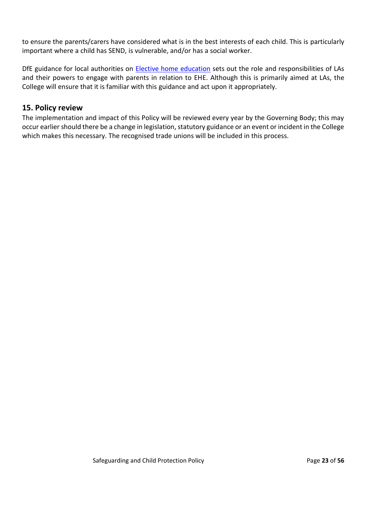to ensure the parents/carers have considered what is in the best interests of each child. This is particularly important where a child has SEND, is vulnerable, and/or has a social worker.

DfE guidance for local authorities on **[Elective home education](https://www.gov.uk/government/publications/elective-home-education)** sets out the role and responsibilities of LAs and their powers to engage with parents in relation to EHE. Although this is primarily aimed at LAs, the College will ensure that it is familiar with this guidance and act upon it appropriately.

#### **15. Policy review**

The implementation and impact of this Policy will be reviewed every year by the Governing Body; this may occur earlier should there be a change in legislation, statutory guidance or an event or incident in the College which makes this necessary. The recognised trade unions will be included in this process.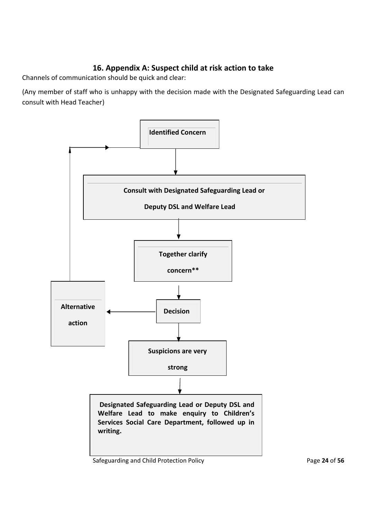# **16. Appendix A: Suspect child at risk action to take**

Channels of communication should be quick and clear:

(Any member of staff who is unhappy with the decision made with the Designated Safeguarding Lead can consult with Head Teacher)



#### Safeguarding and Child Protection Policy **Page 24** of 56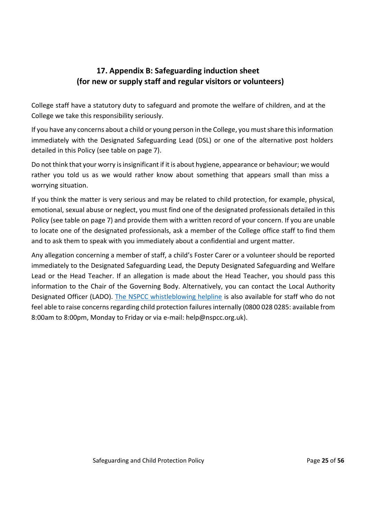# **17. Appendix B: Safeguarding induction sheet (for new or supply staff and regular visitors or volunteers)**

College staff have a statutory duty to safeguard and promote the welfare of children, and at the College we take this responsibility seriously.

If you have any concerns about a child or young person in the College, you must share this information immediately with the Designated Safeguarding Lead (DSL) or one of the alternative post holders detailed in this Policy (see table on page 7).

Do not think that your worry is insignificant if it is about hygiene, appearance or behaviour; we would rather you told us as we would rather know about something that appears small than miss a worrying situation.

If you think the matter is very serious and may be related to child protection, for example, physical, emotional, sexual abuse or neglect, you must find one of the designated professionals detailed in this Policy (see table on page 7) and provide them with a written record of your concern. If you are unable to locate one of the designated professionals, ask a member of the College office staff to find them and to ask them to speak with you immediately about a confidential and urgent matter.

Any allegation concerning a member of staff, a child's Foster Carer or a volunteer should be reported immediately to the Designated Safeguarding Lead, the Deputy Designated Safeguarding and Welfare Lead or the Head Teacher. If an allegation is made about the Head Teacher, you should pass this information to the Chair of the Governing Body. Alternatively, you can contact the Local Authority Designated Officer (LADO). [The NSPCC whistleblowing helpline](https://www.nspcc.org.uk/keeping-children-safe/reporting-abuse/dedicated-helplines/whistleblowing-advice-line/) is also available for staff who do not feel able to raise concerns regarding child protection failures internally (0800 028 0285: available from 8:00am to 8:00pm, Monday to Friday or via e-mail: help@nspcc.org.uk).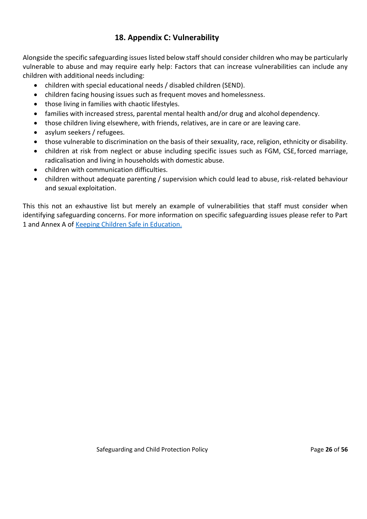## **18. Appendix C: Vulnerability**

Alongside the specific safeguarding issues listed below staff should consider children who may be particularly vulnerable to abuse and may require early help: Factors that can increase vulnerabilities can include any children with additional needs including:

- children with special educational needs / disabled children (SEND).
- children facing housing issues such as frequent moves and homelessness.
- those living in families with chaotic lifestyles.
- families with increased stress, parental mental health and/or drug and alcohol dependency.
- those children living elsewhere, with friends, relatives, are in care or are leaving care.
- asylum seekers / refugees.
- those vulnerable to discrimination on the basis of their sexuality, race, religion, ethnicity or disability.
- children at risk from neglect or abuse including specific issues such as FGM, CSE,forced marriage, radicalisation and living in households with domestic abuse.
- children with communication difficulties.
- children without adequate parenting / supervision which could lead to abuse, risk-related behaviour and sexual exploitation.

This this not an exhaustive list but merely an example of vulnerabilities that staff must consider when identifying safeguarding concerns. For more information on specific safeguarding issues please refer to Part 1 and Annex A of [Keeping Children Safe in Education.](https://www.gov.uk/government/publications/keeping-children-safe-in-education--2)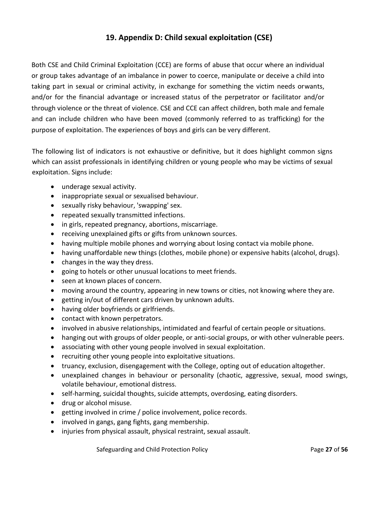# **19. Appendix D: Child sexual exploitation (CSE)**

Both CSE and Child Criminal Exploitation (CCE) are forms of abuse that occur where an individual or group takes advantage of an imbalance in power to coerce, manipulate or deceive a child into taking part in sexual or criminal activity, in exchange for something the victim needs orwants, and/or for the financial advantage or increased status of the perpetrator or facilitator and/or through violence or the threat of violence. CSE and CCE can affect children, both male and female and can include children who have been moved (commonly referred to as trafficking) for the purpose of exploitation. The experiences of boys and girls can be very different.

The following list of indicators is not exhaustive or definitive, but it does highlight common signs which can assist professionals in identifying children or young people who may be victims of sexual exploitation. Signs include:

- underage sexual activity.
- inappropriate sexual or sexualised behaviour.
- sexually risky behaviour, 'swapping' sex.
- repeated sexually transmitted infections.
- in girls, repeated pregnancy, abortions, miscarriage.
- receiving unexplained gifts or gifts from unknown sources.
- having multiple mobile phones and worrying about losing contact via mobile phone.
- having unaffordable new things (clothes, mobile phone) or expensive habits (alcohol, drugs).
- changes in the way they dress.
- going to hotels or other unusual locations to meet friends.
- seen at known places of concern.
- moving around the country, appearing in new towns or cities, not knowing where they are.
- getting in/out of different cars driven by unknown adults.
- having older boyfriends or girlfriends.
- contact with known perpetrators.
- involved in abusive relationships, intimidated and fearful of certain people or situations.
- hanging out with groups of older people, or anti-social groups, or with other vulnerable peers.
- associating with other young people involved in sexual exploitation.
- recruiting other young people into exploitative situations.
- truancy, exclusion, disengagement with the College, opting out of education altogether.
- unexplained changes in behaviour or personality (chaotic, aggressive, sexual, mood swings, volatile behaviour, emotional distress.
- self-harming, suicidal thoughts, suicide attempts, overdosing, eating disorders.
- drug or alcohol misuse.
- getting involved in crime / police involvement, police records.
- involved in gangs, gang fights, gang membership.
- injuries from physical assault, physical restraint, sexual assault.

**Safeguarding and Child Protection Policy Page 20 of 56** Page 27 of 56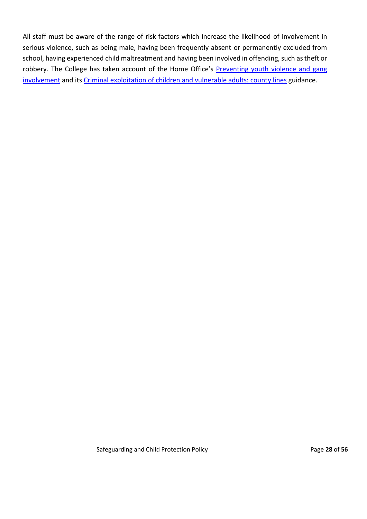All staff must be aware of the range of risk factors which increase the likelihood of involvement in serious violence, such as being male, having been frequently absent or permanently excluded from school, having experienced child maltreatment and having been involved in offending, such as theft or robbery. The College has taken account of the Home Office's [Preventing youth violence and gang](https://www.gov.uk/government/publications/advice-to-schools-and-colleges-on-gangs-and-youth-violence) [involvement](https://www.gov.uk/government/publications/advice-to-schools-and-colleges-on-gangs-and-youth-violence) and its [Criminal exploitation of children and vulnerable adults: county lines](https://www.gov.uk/government/publications/criminal-exploitation-of-children-and-vulnerable-adults-county-lines) guidance.

**Safeguarding and Child Protection Policy Page 28 of 56 Page 28 of 56**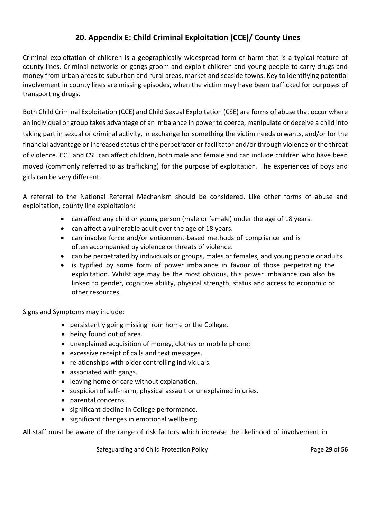# **20. Appendix E: Child Criminal Exploitation (CCE)/ County Lines**

Criminal exploitation of children is a geographically widespread form of harm that is a typical feature of county lines. Criminal networks or gangs groom and exploit children and young people to carry drugs and money from urban areas to suburban and rural areas, market and seaside towns. Key to identifying potential involvement in county lines are missing episodes, when the victim may have been trafficked for purposes of transporting drugs.

Both Child Criminal Exploitation (CCE) and Child Sexual Exploitation (CSE) are forms of abuse that occur where an individual or group takes advantage of an imbalance in power to coerce, manipulate or deceive a child into taking part in sexual or criminal activity, in exchange for something the victim needs orwants, and/or for the financial advantage or increased status of the perpetrator or facilitator and/or through violence or the threat of violence. CCE and CSE can affect children, both male and female and can include children who have been moved (commonly referred to as trafficking) for the purpose of exploitation. The experiences of boys and girls can be very different.

A referral to the National Referral Mechanism should be considered. Like other forms of abuse and exploitation, county line exploitation:

- can affect any child or young person (male or female) under the age of 18 years.
- can affect a vulnerable adult over the age of 18 years.
- can involve force and/or enticement-based methods of compliance and is often accompanied by violence or threats of violence.
- can be perpetrated by individuals or groups, males or females, and young people or adults.
- is typified by some form of power imbalance in favour of those perpetrating the exploitation. Whilst age may be the most obvious, this power imbalance can also be linked to gender, cognitive ability, physical strength, status and access to economic or other resources.

Signs and Symptoms may include:

- persistently going missing from home or the College.
- being found out of area.
- unexplained acquisition of money, clothes or mobile phone;
- excessive receipt of calls and text messages.
- relationships with older controlling individuals.
- associated with gangs.
- leaving home or care without explanation.
- suspicion of self-harm, physical assault or unexplained injuries.
- parental concerns.
- significant decline in College performance.
- significant changes in emotional wellbeing.

All staff must be aware of the range of risk factors which increase the likelihood of involvement in

**Safeguarding and Child Protection Policy Page 29 of 56 Page 29 of 56**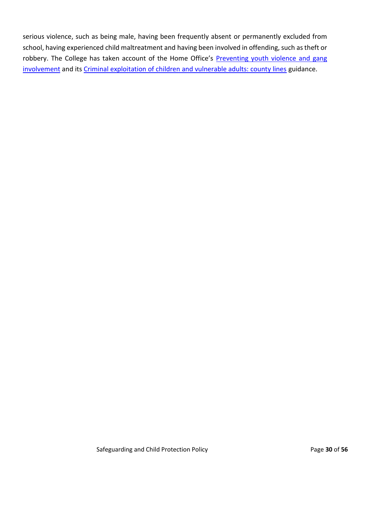serious violence, such as being male, having been frequently absent or permanently excluded from school, having experienced child maltreatment and having been involved in offending, such as theft or robbery. The College has taken account of the Home Office's [Preventing youth violence and gang](https://www.gov.uk/government/publications/advice-to-schools-and-colleges-on-gangs-and-youth-violence) [involvement](https://www.gov.uk/government/publications/advice-to-schools-and-colleges-on-gangs-and-youth-violence) and its [Criminal exploitation of children and vulnerable adults: county lines](https://www.gov.uk/government/publications/criminal-exploitation-of-children-and-vulnerable-adults-county-lines) guidance.

**Safeguarding and Child Protection Policy Page 30 of 56 Page 30 of 56**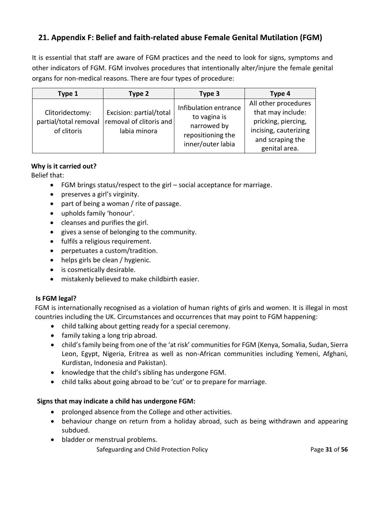# **21. Appendix F: Belief and faith-related abuse Female Genital Mutilation (FGM)**

It is essential that staff are aware of FGM practices and the need to look for signs, symptoms and other indicators of FGM. FGM involves procedures that intentionally alter/injure the female genital organs for non-medical reasons. There are four types of procedure:

| Type 1                                                  | Type 2                                                             | Type 3                                                                                         | Type 4                                                                                                                         |
|---------------------------------------------------------|--------------------------------------------------------------------|------------------------------------------------------------------------------------------------|--------------------------------------------------------------------------------------------------------------------------------|
| Clitoridectomy:<br>partial/total removal<br>of clitoris | Excision: partial/total<br>removal of clitoris and<br>labia minora | Infibulation entrance<br>to vagina is<br>narrowed by<br>repositioning the<br>inner/outer labia | All other procedures<br>that may include:<br>pricking, piercing,<br>incising, cauterizing<br>and scraping the<br>genital area. |

#### **Why is it carried out?**

Belief that:

- FGM brings status/respect to the girl social acceptance for marriage.
- preserves a girl's virginity.
- part of being a woman / rite of passage.
- upholds family 'honour'.
- cleanses and purifies the girl.
- gives a sense of belonging to the community.
- fulfils a religious requirement.
- perpetuates a custom/tradition.
- helps girls be clean / hygienic.
- is cosmetically desirable.
- mistakenly believed to make childbirth easier.

#### **Is FGM legal?**

FGM is internationally recognised as a violation of human rights of girls and women. It is illegal in most countries including the UK. Circumstances and occurrences that may point to FGM happening:

- child talking about getting ready for a special ceremony.
- family taking a long trip abroad.
- child's family being from one of the 'at risk' communities for FGM (Kenya, Somalia, Sudan, Sierra Leon, Egypt, Nigeria, Eritrea as well as non-African communities including Yemeni, Afghani, Kurdistan, Indonesia and Pakistan).
- knowledge that the child's sibling has undergone FGM.
- child talks about going abroad to be 'cut' or to prepare for marriage.

#### **Signs that may indicate a child has undergone FGM:**

- prolonged absence from the College and other activities.
- behaviour change on return from a holiday abroad, such as being withdrawn and appearing subdued.
- bladder or menstrual problems.

**Safeguarding and Child Protection Policy Page 31 of 56** Page 31 of 56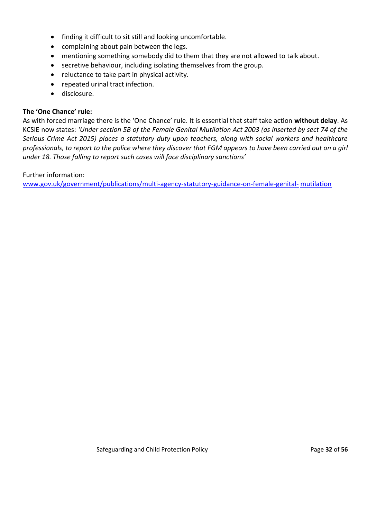- finding it difficult to sit still and looking uncomfortable.
- complaining about pain between the legs.
- mentioning something somebody did to them that they are not allowed to talk about.
- secretive behaviour, including isolating themselves from the group.
- reluctance to take part in physical activity.
- repeated urinal tract infection.
- disclosure.

#### **The 'One Chance' rule:**

As with forced marriage there is the 'One Chance' rule. It is essential that staff take action **without delay**. As KCSIE now states: *'Under section 5B of the Female Genital Mutilation Act 2003 (as inserted by sect 74 of the Serious Crime Act 2015) places a statutory duty upon teachers, along with social workers and healthcare professionals, to report to the police where they discover that FGM appears to have been carried out on a girl under 18. Those falling to report such cases will face disciplinary sanctions'*

Further information:

[www.gov.uk/government/publications/multi-agency-statutory-guidance-on-female-genital-](http://www.gov.uk/government/publications/multi-agency-statutory-guidance-on-female-genital-mutilation) [mutilation](http://www.gov.uk/government/publications/multi-agency-statutory-guidance-on-female-genital-mutilation)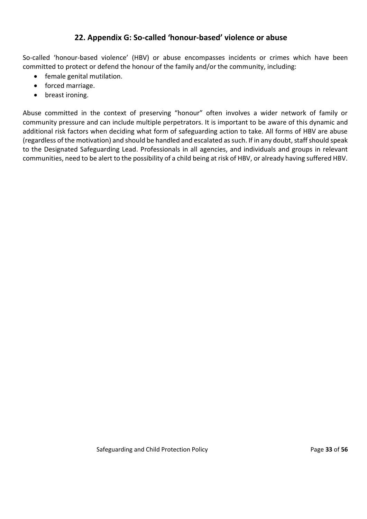## **22. Appendix G: So-called 'honour-based' violence or abuse**

So-called 'honour-based violence' (HBV) or abuse encompasses incidents or crimes which have been committed to protect or defend the honour of the family and/or the community, including:

- female genital mutilation.
- forced marriage.
- breast ironing.

Abuse committed in the context of preserving "honour" often involves a wider network of family or community pressure and can include multiple perpetrators. It is important to be aware of this dynamic and additional risk factors when deciding what form of safeguarding action to take. All forms of HBV are abuse (regardless of the motivation) and should be handled and escalated as such. If in any doubt, staff should speak to the Designated Safeguarding Lead. Professionals in all agencies, and individuals and groups in relevant communities, need to be alert to the possibility of a child being at risk of HBV, or already having suffered HBV.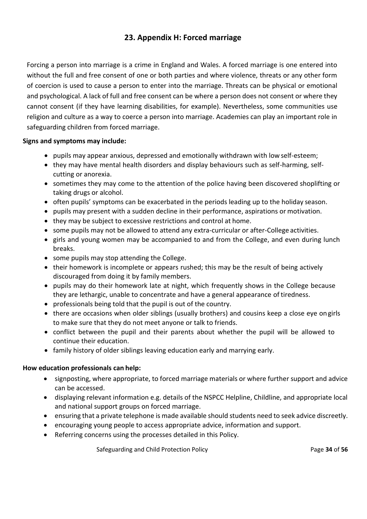# **23. Appendix H: Forced marriage**

Forcing a person into marriage is a crime in England and Wales. A forced marriage is one entered into without the full and free consent of one or both parties and where violence, threats or any other form of coercion is used to cause a person to enter into the marriage. Threats can be physical or emotional and psychological. A lack of full and free consent can be where a person does not consent or where they cannot consent (if they have learning disabilities, for example). Nevertheless, some communities use religion and culture as a way to coerce a person into marriage. Academies can play an important role in safeguarding children from forced marriage.

#### **Signs and symptoms may include:**

- pupils may appear anxious, depressed and emotionally withdrawn with low self-esteem;
- they may have mental health disorders and display behaviours such as self-harming, selfcutting or anorexia.
- sometimes they may come to the attention of the police having been discovered shoplifting or taking drugs or alcohol.
- often pupils' symptoms can be exacerbated in the periods leading up to the holiday season.
- pupils may present with a sudden decline in their performance, aspirations or motivation.
- they may be subject to excessive restrictions and control at home.
- some pupils may not be allowed to attend any extra-curricular or after-College activities.
- girls and young women may be accompanied to and from the College, and even during lunch breaks.
- some pupils may stop attending the College.
- their homework is incomplete or appears rushed; this may be the result of being actively discouraged from doing it by family members.
- pupils may do their homework late at night, which frequently shows in the College because they are lethargic, unable to concentrate and have a general appearance of tiredness.
- professionals being told that the pupil is out of the country.
- there are occasions when older siblings (usually brothers) and cousins keep a close eye ongirls to make sure that they do not meet anyone or talk to friends.
- conflict between the pupil and their parents about whether the pupil will be allowed to continue their education.
- family history of older siblings leaving education early and marrying early.

#### **How education professionals can help:**

- signposting, where appropriate, to forced marriage materials or where further support and advice can be accessed.
- displaying relevant information e.g. details of the NSPCC Helpline, Childline, and appropriate local and national support groups on forced marriage.
- ensuring that a private telephone is made available should students need to seek advice discreetly.
- encouraging young people to access appropriate advice, information and support.
- Referring concerns using the processes detailed in this Policy.

**Safeguarding and Child Protection Policy Page 14 of 56** Page 34 of 56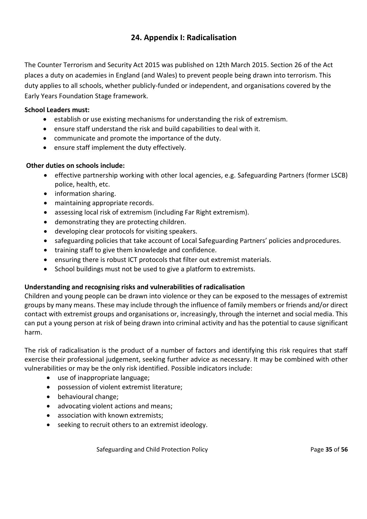# **24. Appendix I: Radicalisation**

The Counter Terrorism and Security Act 2015 was published on 12th March 2015. Section 26 of the Act places a duty on academies in England (and Wales) to prevent people being drawn into terrorism. This duty applies to all schools, whether publicly-funded or independent, and organisations covered by the Early Years Foundation Stage framework.

#### **School Leaders must:**

- establish or use existing mechanisms for understanding the risk of extremism.
- ensure staff understand the risk and build capabilities to deal with it.
- communicate and promote the importance of the duty.
- ensure staff implement the duty effectively.

#### **Other duties on schools include:**

- effective partnership working with other local agencies, e.g. Safeguarding Partners (former LSCB) police, health, etc.
- information sharing.
- maintaining appropriate records.
- assessing local risk of extremism (including Far Right extremism).
- demonstrating they are protecting children.
- developing clear protocols for visiting speakers.
- safeguarding policies that take account of Local Safeguarding Partners' policies and procedures.
- training staff to give them knowledge and confidence.
- ensuring there is robust ICT protocols that filter out extremist materials.
- School buildings must not be used to give a platform to extremists.

#### **Understanding and recognising risks and vulnerabilities of radicalisation**

Children and young people can be drawn into violence or they can be exposed to the messages of extremist groups by many means. These may include through the influence of family members or friends and/or direct contact with extremist groups and organisations or, increasingly, through the internet and social media. This can put a young person at risk of being drawn into criminal activity and has the potential to cause [significant](http://trixresources.proceduresonline.com/nat_key/keywords/significant_harm.html)  [harm.](http://trixresources.proceduresonline.com/nat_key/keywords/significant_harm.html)

The risk of radicalisation is the product of a number of factors and identifying this risk requires that staff exercise their professional judgement, seeking further advice as necessary. It may be combined with other vulnerabilities or may be the only risk identified. Possible indicators include:

- use of inappropriate language;
- possession of violent extremist literature;
- behavioural change;
- advocating violent actions and means;
- association with known extremists;
- seeking to recruit others to an extremist ideology.

**Safeguarding and Child Protection Policy Community Page 35 of 56**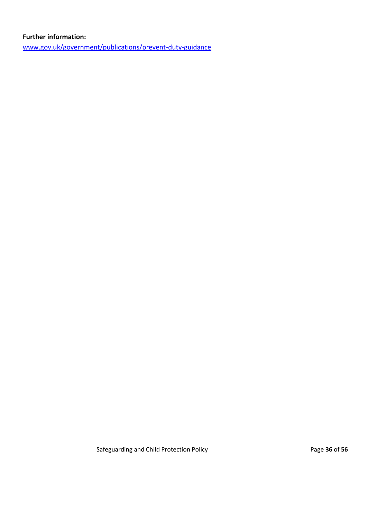#### **Further information:**

[www.gov.uk/government/publications/prevent-duty-guidance](http://www.gov.uk/government/publications/prevent-duty-guidance)

**Safeguarding and Child Protection Policy Page 36** of **56 Page 36** of **56**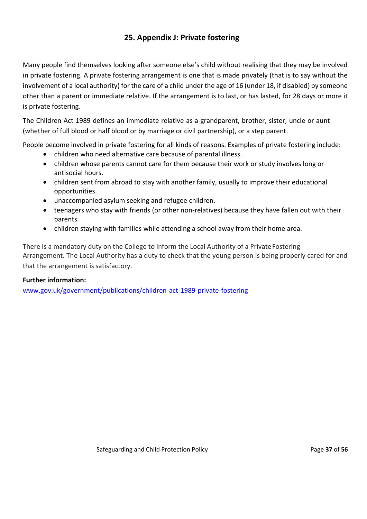# **25. Appendix J: Private fostering**

Many people find themselves looking after someone else's child without realising that they may be involved in private fostering. A private fostering arrangement is one that is made privately (that is to say without the involvement of a local authority) for the care of a child under the age of 16 (under 18, if disabled) by someone other than a parent or immediate relative. If the arrangement is to last, or has lasted, for 28 days or more it is private fostering.

The Children Act 1989 defines an immediate relative as a grandparent, brother, sister, uncle or aunt (whether of full blood or half blood or by marriage or civil partnership), or a step parent.

People become involved in private fostering for all kinds of reasons. Examples of private fostering include:

- children who need alternative care because of parental illness.
- children whose parents cannot care for them because their work or study involves long or antisocial hours.
- children sent from abroad to stay with another family, usually to improve their educational opportunities.
- unaccompanied asylum seeking and refugee children.
- teenagers who stay with friends (or other non-relatives) because they have fallen out with their parents.
- children staying with families while attending a school away from their home area.

There is a mandatory duty on the College to inform the Local Authority of a PrivateFostering Arrangement. The Local Authority has a duty to check that the young person is being properly cared for and that the arrangement is satisfactory.

#### **Further information:**

[www.gov.uk/government/publications/children-act-1989-private-fostering](http://www.gov.uk/government/publications/children-act-1989-private-fostering)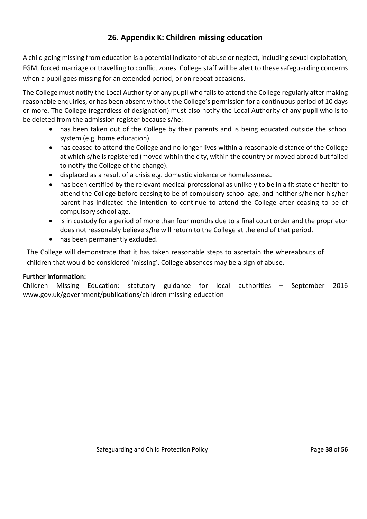# **26. Appendix K: Children missing education**

A child going missing from education is a potential indicator of abuse or neglect, including sexual exploitation, FGM, forced marriage or travelling to conflict zones. College staff will be alert to these safeguarding concerns when a pupil goes missing for an extended period, or on repeat occasions.

The College must notify the Local Authority of any pupil who fails to attend the College regularly after making reasonable enquiries, or has been absent without the College's permission for a continuous period of 10 days or more. The College (regardless of designation) must also notify the Local Authority of any pupil who is to be deleted from the admission register because s/he:

- has been taken out of the College by their parents and is being educated outside the school system (e.g. home education).
- has ceased to attend the College and no longer lives within a reasonable distance of the College at which s/he is registered (moved within the city, within the country or moved abroad but failed to notify the College of the change).
- displaced as a result of a crisis e.g. domestic violence or homelessness.
- has been certified by the relevant medical professional as unlikely to be in a fit state of health to attend the College before ceasing to be of compulsory school age, and neither s/he nor his/her parent has indicated the intention to continue to attend the College after ceasing to be of compulsory school age.
- is in custody for a period of more than four months due to a final court order and the proprietor does not reasonably believe s/he will return to the College at the end of that period.
- has been permanently excluded.

The College will demonstrate that it has taken reasonable steps to ascertain the whereabouts of children that would be considered 'missing'. College absences may be a sign of abuse.

#### **Further information:**

Children Missing Education: statutory guidance for local authorities – September 2016 [www.gov.uk/government/publications/children-missing-education](http://www.gov.uk/government/publications/children-missing-education)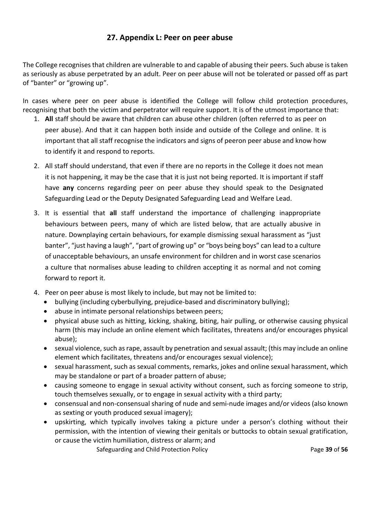## **27. Appendix L: Peer on peer abuse**

The College recognises that children are vulnerable to and capable of abusing their peers. Such abuse is taken as seriously as abuse perpetrated by an adult. Peer on peer abuse will not be tolerated or passed off as part of "banter" or "growing up".

In cases where peer on peer abuse is identified the College will follow child protection procedures, recognising that both the victim and perpetrator will require support. It is of the utmost importance that:

- 1. **All** staff should be aware that children can abuse other children (often referred to as peer on peer abuse). And that it can happen both inside and outside of the College and online. It is important that all staff recognise the indicators and signs of peeron peer abuse and know how to identify it and respond to reports.
- 2. All staff should understand, that even if there are no reports in the College it does not mean it is not happening, it may be the case that it is just not being reported. It is important if staff have **any** concerns regarding peer on peer abuse they should speak to the Designated Safeguarding Lead or the Deputy Designated Safeguarding Lead and Welfare Lead.
- 3. It is essential that **all** staff understand the importance of challenging inappropriate behaviours between peers, many of which are listed below, that are actually abusive in nature. Downplaying certain behaviours, for example dismissing sexual harassment as "just banter", "just having a laugh", "part of growing up" or "boys being boys" can lead to a culture of unacceptable behaviours, an unsafe environment for children and in worst case scenarios a culture that normalises abuse leading to children accepting it as normal and not coming forward to report it.
- 4. Peer on peer abuse is most likely to include, but may not be limited to:
	- bullying (including cyberbullying, prejudice-based and discriminatory bullying);
	- abuse in intimate personal relationships between peers;
	- physical abuse such as hitting, kicking, shaking, biting, hair pulling, or otherwise causing physical harm (this may include an online element which facilitates, threatens and/or encourages physical abuse);
	- sexual violence, such as rape, assault by penetration and sexual assault; (this may include an online element which facilitates, threatens and/or encourages sexual violence);
	- sexual harassment, such as sexual comments, remarks, jokes and online sexual harassment, which may be standalone or part of a broader pattern of abuse;
	- causing someone to engage in sexual activity without consent, such as forcing someone to strip, touch themselves sexually, or to engage in sexual activity with a third party;
	- consensual and non-consensual sharing of nude and semi-nude images and/or videos (also known as sexting or youth produced sexual imagery);
	- upskirting, which typically involves taking a picture under a person's clothing without their permission, with the intention of viewing their genitals or buttocks to obtain sexual gratification, or cause the victim humiliation, distress or alarm; and

**Safeguarding and Child Protection Policy Page 19 of 56** Page 39 of 56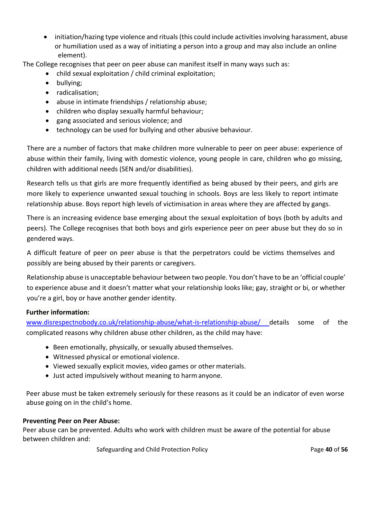• initiation/hazing type violence and rituals (this could include activities involving harassment, abuse or humiliation used as a way of initiating a person into a group and may also include an online element).

The College recognises that peer on peer abuse can manifest itself in many ways such as:

- child sexual exploitation / child criminal exploitation;
	- bullying;
	- radicalisation;
	- abuse in intimate friendships / relationship abuse;
	- children who display sexually harmful behaviour;
	- gang associated and serious violence; and
	- technology can be used for bullying and other abusive behaviour.

There are a number of factors that make children more vulnerable to peer on peer abuse: experience of abuse within their family, living with domestic violence, young people in care, children who go missing, children with additional needs (SEN and/or disabilities).

Research tells us that girls are more frequently identified as being abused by their peers, and girls are more likely to experience unwanted sexual touching in schools. Boys are less likely to report intimate relationship abuse. Boys report high levels of victimisation in areas where they are affected by gangs.

There is an increasing evidence base emerging about the sexual exploitation of boys (both by adults and peers). The College recognises that both boys and girls experience peer on peer abuse but they do so in gendered ways.

A difficult feature of peer on peer abuse is that the perpetrators could be victims themselves and possibly are being abused by their parents or caregivers.

Relationship abuse is unacceptable behaviour between two people. You don't have to be an 'official couple' to experience abuse and it doesn't matter what your relationship looks like; gay, straight or bi, or whether you're a girl, boy or have another gender identity.

#### **Further information:**

[www.disrespectnobody.co.uk/relationship-abuse/what-is-relationship-abuse/](http://www.disrespectnobody.co.uk/relationship-abuse/what-is-relationship-abuse/) details some of the complicated reasons why children abuse other children, as the child may have:

- Been emotionally, physically, or sexually abused themselves.
- Witnessed physical or emotional violence.
- Viewed sexually explicit movies, video games or other materials.
- Just acted impulsively without meaning to harmanyone.

Peer abuse must be taken extremely seriously for these reasons as it could be an indicator of even worse abuse going on in the child's home.

#### **Preventing Peer on Peer Abuse:**

Peer abuse can be prevented. Adults who work with children must be aware of the potential for abuse between children and:

**Safeguarding and Child Protection Policy Page 10 of 56** Page 40 of 56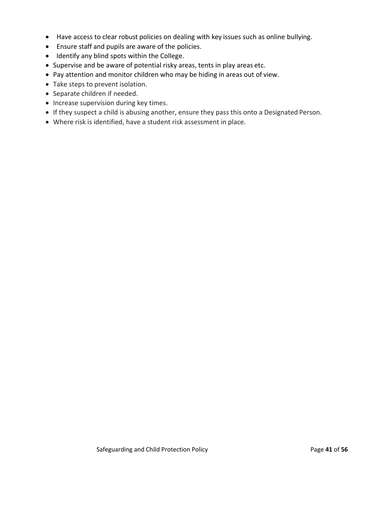- Have access to clear robust policies on dealing with key issues such as online bullying.
- Ensure staff and pupils are aware of the policies.
- Identify any blind spots within the College.
- Supervise and be aware of potential risky areas, tents in play areas etc.
- Pay attention and monitor children who may be hiding in areas out of view.
- Take steps to prevent isolation.
- Separate children if needed.
- Increase supervision during key times.
- If they suspect a child is abusing another, ensure they pass this onto a Designated Person.
- Where risk is identified, have a student risk assessment in place.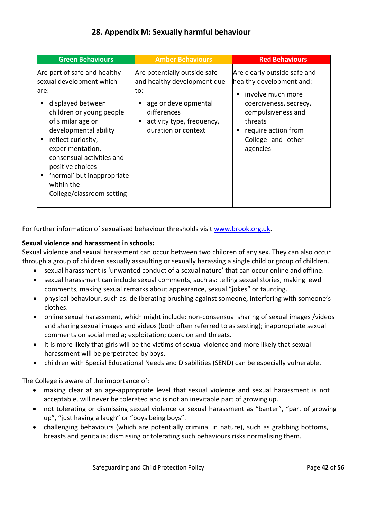# **28. Appendix M: Sexually harmful behaviour**

| <b>Green Behaviours</b>                                                                                                                                                                                                                                                                                                                             | <b>Amber Behaviours</b>                                                                                                                                                 | <b>Red Behaviours</b>                                                                                                                                                                                 |
|-----------------------------------------------------------------------------------------------------------------------------------------------------------------------------------------------------------------------------------------------------------------------------------------------------------------------------------------------------|-------------------------------------------------------------------------------------------------------------------------------------------------------------------------|-------------------------------------------------------------------------------------------------------------------------------------------------------------------------------------------------------|
| Are part of safe and healthy<br>sexual development which<br>lare:<br>displayed between<br>٠<br>children or young people<br>of similar age or<br>developmental ability<br>reflect curiosity,<br>٠<br>experimentation,<br>consensual activities and<br>positive choices<br>'normal' but inappropriate<br>٠<br>within the<br>College/classroom setting | Are potentially outside safe<br>and healthy development due<br>to:<br>age or developmental<br>п<br>differences<br>activity type, frequency,<br>п<br>duration or context | Are clearly outside safe and<br>healthy development and:<br>involve much more<br>٠<br>coerciveness, secrecy,<br>compulsiveness and<br>threats<br>require action from<br>College and other<br>agencies |

For further information of sexualised behaviour thresholds visit [www.brook.org.uk.](http://www.brook.org.uk/)

#### **Sexual violence and harassment in schools:**

Sexual violence and sexual harassment can occur between two children of any sex. They can also occur through a group of children sexually assaulting or sexually harassing a single child or group of children.

- sexual harassment is 'unwanted conduct of a sexual nature' that can occur online and offline.
- sexual harassment can include sexual comments, such as: telling sexual stories, making lewd comments, making sexual remarks about appearance, sexual "jokes" or taunting.
- physical behaviour, such as: deliberating brushing against someone, interfering with someone's clothes.
- online sexual harassment, which might include: non-consensual sharing of sexual images /videos and sharing sexual images and videos (both often referred to as sexting); inappropriate sexual comments on social media; exploitation; coercion and threats.
- it is more likely that girls will be the victims of sexual violence and more likely that sexual harassment will be perpetrated by boys.
- children with Special Educational Needs and Disabilities (SEND) can be especially vulnerable.

The College is aware of the importance of:

- making clear at an age-appropriate level that sexual violence and sexual harassment is not acceptable, will never be tolerated and is not an inevitable part of growing up.
- not tolerating or dismissing sexual violence or sexual harassment as "banter", "part of growing up", "just having a laugh" or "boys being boys".
- challenging behaviours (which are potentially criminal in nature), such as grabbing bottoms, breasts and genitalia; dismissing or tolerating such behaviours risks normalising them.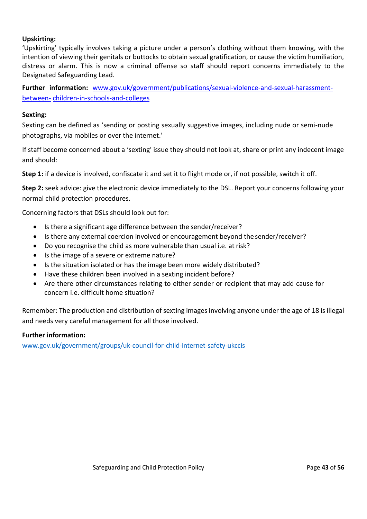#### **Upskirting:**

'Upskirting' typically involves taking a picture under a person's clothing without them knowing, with the intention of viewing their genitals or buttocks to obtain sexual gratification, or cause the victim humiliation, distress or alarm. This is now a criminal offense so staff should report concerns immediately to the Designated Safeguarding Lead.

**Further information:** [www.gov.uk/government/publications/sexual-violence-and-sexual-harassment](http://www.gov.uk/government/publications/sexual-violence-and-sexual-harassment-between-children-in-schools-and-colleges)[between-](http://www.gov.uk/government/publications/sexual-violence-and-sexual-harassment-between-children-in-schools-and-colleges) [children-in-schools-and-colleges](http://www.gov.uk/government/publications/sexual-violence-and-sexual-harassment-between-children-in-schools-and-colleges)

#### **Sexting:**

Sexting can be defined as 'sending or posting sexually suggestive images, including nude or semi-nude photographs, via mobiles or over the internet.'

If staff become concerned about a 'sexting' issue they should not look at, share or print any indecent image and should:

**Step 1:** if a device is involved, confiscate it and set it to flight mode or, if not possible, switch it off.

**Step 2:** seek advice: give the electronic device immediately to the DSL. Report your concerns following your normal child protection procedures.

Concerning factors that DSLs should look out for:

- Is there a significant age difference between the sender/receiver?
- Is there any external coercion involved or encouragement beyond the sender/receiver?
- Do you recognise the child as more vulnerable than usual i.e. at risk?
- Is the image of a severe or extreme nature?
- Is the situation isolated or has the image been more widely distributed?
- Have these children been involved in a sexting incident before?
- Are there other circumstances relating to either sender or recipient that may add cause for concern i.e. difficult home situation?

Remember: The production and distribution of sexting images involving anyone under the age of 18 is illegal and needs very careful management for all those involved.

#### **Further information:**

www.gov.uk/government/groups/uk-council-for-child-internet-safety-ukccis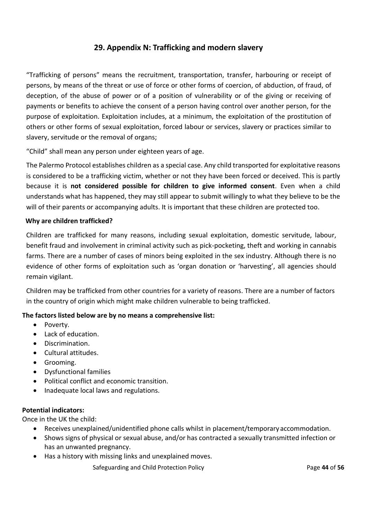## **29. Appendix N: Trafficking and modern slavery**

"Trafficking of persons" means the recruitment, transportation, transfer, harbouring or receipt of persons, by means of the threat or use of force or other forms of coercion, of abduction, of fraud, of deception, of the abuse of power or of a position of vulnerability or of the giving or receiving of payments or benefits to achieve the consent of a person having control over another person, for the purpose of exploitation. Exploitation includes, at a minimum, the exploitation of the prostitution of others or other forms of sexual exploitation, forced labour or services, slavery or practices similar to slavery, servitude or the removal of organs;

"Child" shall mean any person under eighteen years of age.

The Palermo Protocol establishes children as a special case. Any child transported for exploitative reasons is considered to be a trafficking victim, whether or not they have been forced or deceived. This is partly because it is **not considered possible for children to give informed consent**. Even when a child understands what has happened, they may still appear to submit willingly to what they believe to be the will of their parents or accompanying adults. It is important that these children are protected too.

#### **Why are children trafficked?**

Children are trafficked for many reasons, including sexual exploitation, domestic servitude, labour, benefit fraud and involvement in criminal activity such as pick-pocketing, theft and working in cannabis farms. There are a number of cases of minors being exploited in the sex industry. Although there is no evidence of other forms of exploitation such as 'organ donation or 'harvesting', all agencies should remain vigilant.

Children may be trafficked from other countries for a variety of reasons. There are a number of factors in the country of origin which might make children vulnerable to being trafficked.

#### **The factors listed below are by no means a comprehensive list:**

- Poverty.
- Lack of education.
- Discrimination.
- Cultural attitudes.
- Grooming.
- Dysfunctional families
- Political conflict and economic transition.
- Inadequate local laws and regulations.

#### **Potential indicators:**

Once in the UK the child:

- Receives unexplained/unidentified phone calls whilst in placement/temporary accommodation.
- Shows signs of physical or sexual abuse, and/or has contracted a sexually transmitted infection or has an unwanted pregnancy.
- Has a history with missing links and unexplained moves.

**Safeguarding and Child Protection Policy Community Page 44 of 56**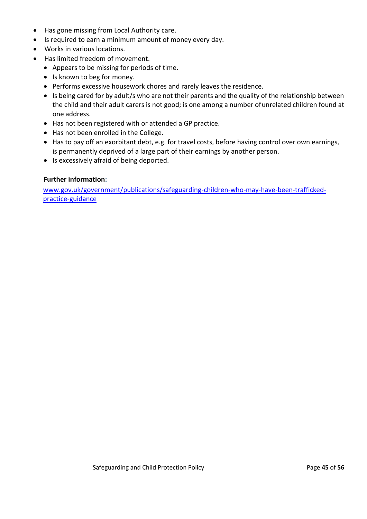- Has gone missing from Local Authority care.
- Is required to earn a minimum amount of money every day.
- Works in various locations.
- Has limited freedom of movement.
	- Appears to be missing for periods of time.
	- Is known to beg for money.
	- Performs excessive housework chores and rarely leaves the residence.
	- Is being cared for by adult/s who are not their parents and the quality of the relationship between the child and their adult carers is not good; is one among a number ofunrelated children found at one address.
	- Has not been registered with or attended a GP practice.
	- Has not been enrolled in the College.
	- Has to pay off an exorbitant debt, e.g. for travel costs, before having control over own earnings, is permanently deprived of a large part of their earnings by another person.
	- Is excessively afraid of being deported.

#### **Further information:**

[www.gov.uk/government/publications/safeguarding-children-who-may-have-been-trafficked](http://www.gov.uk/government/publications/safeguarding-children-who-may-have-been-trafficked-practice-guidance)[practice-guidance](http://www.gov.uk/government/publications/safeguarding-children-who-may-have-been-trafficked-practice-guidance)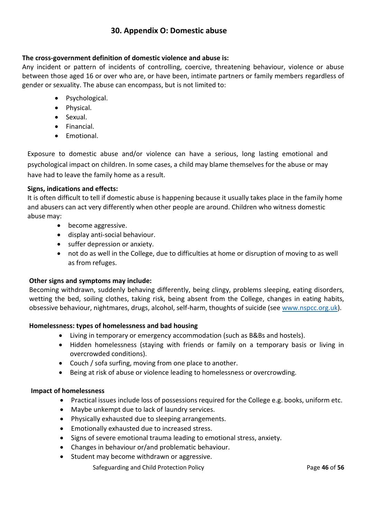### **30. Appendix O: Domestic abuse**

#### **The cross-government definition of domestic violence and abuse is:**

Any incident or pattern of incidents of controlling, coercive, threatening behaviour, violence or abuse between those aged 16 or over who are, or have been, intimate partners or family members regardless of gender or sexuality. The abuse can encompass, but is not limited to:

- Psychological.
- Physical.
- Sexual.
- Financial.
- Emotional.

Exposure to domestic abuse and/or violence can have a serious, long lasting emotional and psychological impact on children. In some cases, a child may blame themselves for the abuse or may have had to leave the family home as a result.

#### **Signs, indications and effects:**

It is often difficult to tell if domestic abuse is happening because it usually takes place in the family home and abusers can act very differently when other people are around. Children who witness domestic abuse may:

- become aggressive.
- display anti-social behaviour.
- suffer depression or anxiety.
- not do as well in the College, due to difficulties at home or disruption of moving to as well as from refuges.

#### **Other signs and symptoms may include:**

Becoming withdrawn, suddenly behaving differently, being clingy, problems sleeping, eating disorders, wetting the bed, soiling clothes, taking risk, being absent from the College, changes in eating habits, obsessive behaviour, nightmares, drugs, alcohol, self-harm, thoughts of suicide (see [www.nspcc.org.uk\)](http://www.nspcc.org.uk/).

#### **Homelessness: types of homelessness and bad housing**

- Living in temporary or emergency accommodation (such as B&Bs and hostels).
- Hidden homelessness (staying with friends or family on a temporary basis or living in overcrowded conditions).
- Couch / sofa surfing, moving from one place to another.
- Being at risk of abuse or violence leading to homelessness or overcrowding.

#### **Impact of homelessness**

- Practical issues include loss of possessions required for the College e.g. books, uniform etc.
- Maybe unkempt due to lack of laundry services.
- Physically exhausted due to sleeping arrangements.
- Emotionally exhausted due to increased stress.
- Signs of severe emotional trauma leading to emotional stress, anxiety.
- Changes in behaviour or/and problematic behaviour.
- Student may become withdrawn or aggressive.

**Safeguarding and Child Protection Policy Page 16 of 56 Page 46** of 56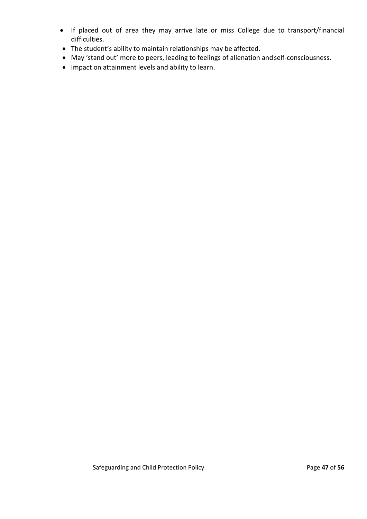- If placed out of area they may arrive late or miss College due to transport/financial difficulties.
- The student's ability to maintain relationships may be affected.
- May 'stand out' more to peers, leading to feelings of alienation andself-consciousness.
- Impact on attainment levels and ability to learn.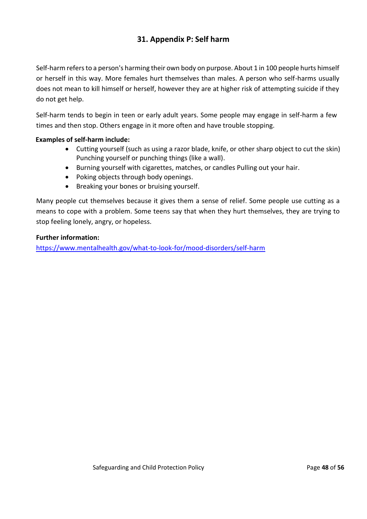# **31. Appendix P: Self harm**

Self-harm refers to a person's harming their own body on purpose. About 1 in 100 people hurts himself or herself in this way. More females hurt themselves than males. A person who self-harms usually does not mean to kill himself or herself, however they are at higher risk of attempting suicide if they do not get help.

Self-harm tends to begin in teen or early adult years. Some people may engage in self-harm a few times and then stop. Others engage in it more often and have trouble stopping.

#### **Examples of self-harm include:**

- Cutting yourself (such as using a razor blade, knife, or other sharp object to cut the skin) Punching yourself or punching things (like a wall).
- Burning yourself with cigarettes, matches, or candles Pulling out your hair.
- Poking objects through body openings.
- Breaking your bones or bruising yourself.

Many people cut themselves because it gives them a sense of relief. Some people use cutting as a means to cope with a problem. Some teens say that when they hurt themselves, they are trying to stop feeling lonely, angry, or hopeless.

#### **Further information:**

<https://www.mentalhealth.gov/what-to-look-for/mood-disorders/self-harm>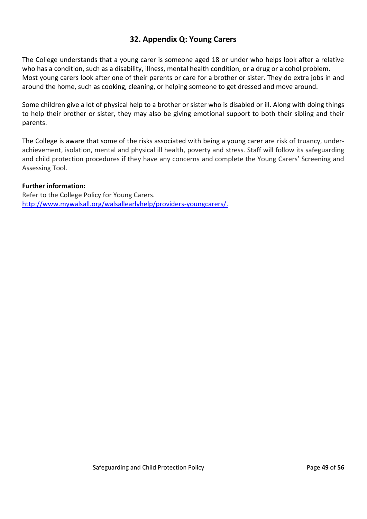### **32. Appendix Q: Young Carers**

The College understands that a young carer is someone aged 18 or under who helps look after a relative who has a condition, such as a disability, illness, mental health condition, or a drug or alcohol problem. Most young carers look after one of their parents or care for a brother or sister. They do extra jobs in and around the home, such as cooking, cleaning, or helping someone to get dressed and move around.

Some children give a lot of physical help to a brother or sister who is disabled or ill. Along with doing things to help their brother or sister, they may also be giving emotional support to both their sibling and their parents.

The College is aware that some of the risks associated with being a young carer are risk of truancy, underachievement, isolation, mental and physical ill health, poverty and stress. Staff will follow its safeguarding and child protection procedures if they have any concerns and complete the Young Carers' Screening and Assessing Tool.

#### **Further information:**

Refer to the College Policy for Young Carers. [http://www.mywalsall.org/walsallearlyhelp/providers-youngcarers/.](http://www.mywalsall.org/walsallearlyhelp/providers-youngcarers/)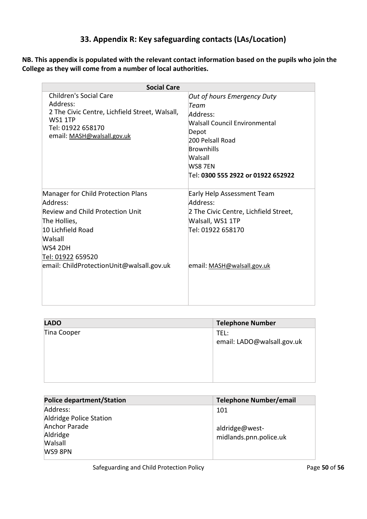# **33. Appendix R: Key safeguarding contacts (LAs/Location)**

**NB. This appendix is populated with the relevant contact information based on the pupils who join the College as they will come from a number of local authorities.**

| <b>Social Care</b>                                                                                                                                                                                                             |                                                                                                                                                                                         |  |
|--------------------------------------------------------------------------------------------------------------------------------------------------------------------------------------------------------------------------------|-----------------------------------------------------------------------------------------------------------------------------------------------------------------------------------------|--|
| Children's Social Care<br>Address:<br>2 The Civic Centre, Lichfield Street, Walsall,<br><b>WS1 1TP</b><br>Tel: 01922 658170<br>email: MASH@walsall.gov.uk                                                                      | Out of hours Emergency Duty<br>Team<br>Address:<br>Walsall Council Environmental<br>Depot<br>200 Pelsall Road<br>Brownhills<br>Walsall<br>WS8 7EN<br>Tel: 0300 555 2922 or 01922 652922 |  |
| Manager for Child Protection Plans<br>Address:<br><b>Review and Child Protection Unit</b><br>The Hollies,<br>10 Lichfield Road<br>Walsall<br>WS4 2DH<br><u> Tel: 01922</u> 659520<br>email: ChildProtectionUnit@walsall.gov.uk | Early Help Assessment Team<br>Address:<br>2 The Civic Centre, Lichfield Street,<br>Walsall, WS1 1TP<br>Tel: 01922 658170<br>email: MASH@walsall.gov.uk                                  |  |

| <b>Telephone Number</b>            |
|------------------------------------|
| TEL:<br>email: LADO@walsall.gov.uk |
|                                    |

| <b>Police department/Station</b> | <b>Telephone Number/email</b> |
|----------------------------------|-------------------------------|
| Address:                         | 101                           |
| Aldridge Police Station          |                               |
| Anchor Parade                    | aldridge@west-                |
| Aldridge                         | midlands.pnn.police.uk        |
| Walsall                          |                               |
| WS9 8PN                          |                               |
|                                  |                               |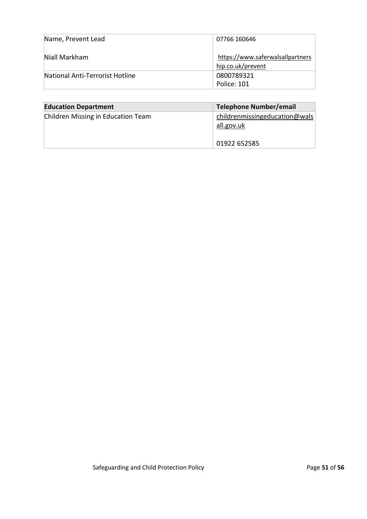| Name, Prevent Lead              | 07766 160646                                          |
|---------------------------------|-------------------------------------------------------|
| Niall Markham                   | https://www.saferwalsallpartners<br>hip.co.uk/prevent |
| National Anti-Terrorist Hotline | 0800789321<br>Police: 101                             |

| <b>Education Department</b>        | Telephone Number/email                                      |
|------------------------------------|-------------------------------------------------------------|
| Children Missing in Education Team | childrenmissingeducation@wals<br>all.gov.uk<br>01922 652585 |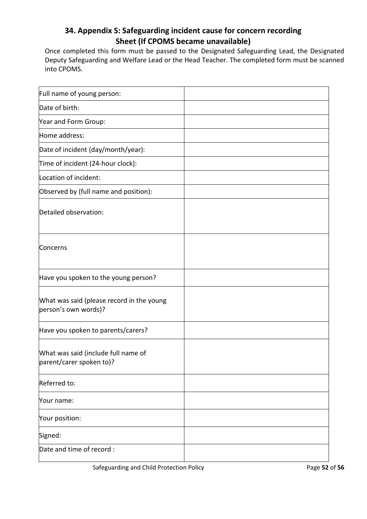## **34. Appendix S: Safeguarding incident cause for concern recording Sheet (If CPOMS became unavailable)**

Once completed this form must be passed to the Designated Safeguarding Lead, the Designated Deputy Safeguarding and Welfare Lead or the Head Teacher. The completed form must be scanned into CPOMS.

| Full name of young person:                                        |  |
|-------------------------------------------------------------------|--|
| Date of birth:                                                    |  |
| Year and Form Group:                                              |  |
| Home address:                                                     |  |
| Date of incident (day/month/year):                                |  |
| Time of incident (24-hour clock):                                 |  |
| Location of incident:                                             |  |
| Observed by (full name and position):                             |  |
| Detailed observation:                                             |  |
| Concerns                                                          |  |
| Have you spoken to the young person?                              |  |
| What was said (please record in the young<br>person's own words)? |  |
| Have you spoken to parents/carers?                                |  |
| What was said (include full name of<br>parent/carer spoken to)?   |  |
| Referred to:                                                      |  |
| Your name:                                                        |  |
| Your position:                                                    |  |
| Signed:                                                           |  |
| Date and time of record :                                         |  |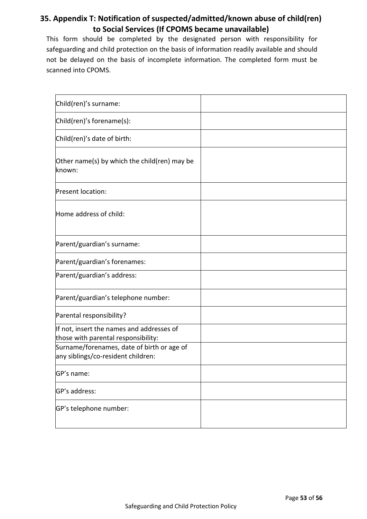# **35. Appendix T: Notification of suspected/admitted/known abuse of child(ren) to Social Services (If CPOMS became unavailable)**

This form should be completed by the designated person with responsibility for safeguarding and child protection on the basis of information readily available and should not be delayed on the basis of incomplete information. The completed form must be scanned into CPOMS.

| Child(ren)'s surname:                                                            |  |
|----------------------------------------------------------------------------------|--|
| Child(ren)'s forename(s):                                                        |  |
| Child(ren)'s date of birth:                                                      |  |
| Other name(s) by which the child(ren) may be<br>known:                           |  |
| Present location:                                                                |  |
| Home address of child:                                                           |  |
| Parent/guardian's surname:                                                       |  |
| Parent/guardian's forenames:                                                     |  |
| Parent/guardian's address:                                                       |  |
| Parent/guardian's telephone number:                                              |  |
| Parental responsibility?                                                         |  |
| If not, insert the names and addresses of<br>those with parental responsibility: |  |
| Surname/forenames, date of birth or age of<br>any siblings/co-resident children: |  |
| GP's name:                                                                       |  |
| GP's address:                                                                    |  |
| GP's telephone number:                                                           |  |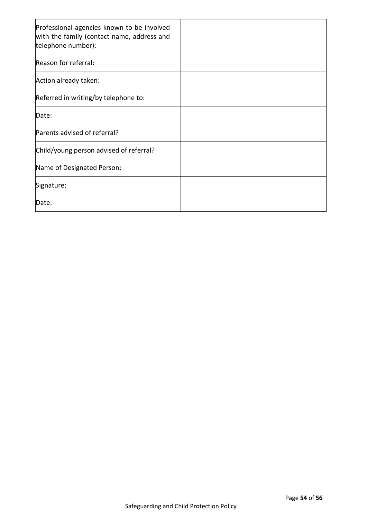| Professional agencies known to be involved<br>with the family (contact name, address and<br>telephone number): |  |
|----------------------------------------------------------------------------------------------------------------|--|
| Reason for referral:                                                                                           |  |
| Action already taken:                                                                                          |  |
| Referred in writing/by telephone to:                                                                           |  |
| Date:                                                                                                          |  |
| Parents advised of referral?                                                                                   |  |
| Child/young person advised of referral?                                                                        |  |
| Name of Designated Person:                                                                                     |  |
| Signature:                                                                                                     |  |
| Date:                                                                                                          |  |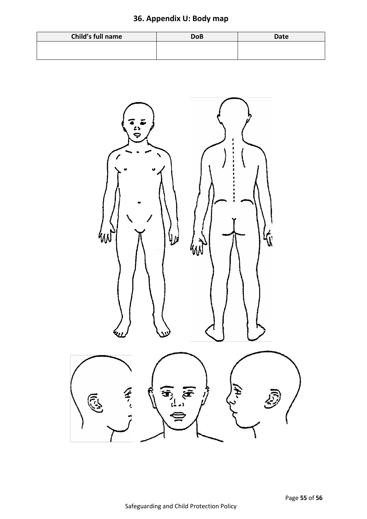# **36. Appendix U: Body map**

| Child's full name | <b>DoB</b> | <b>Date</b> |
|-------------------|------------|-------------|
|                   |            |             |
|                   |            |             |